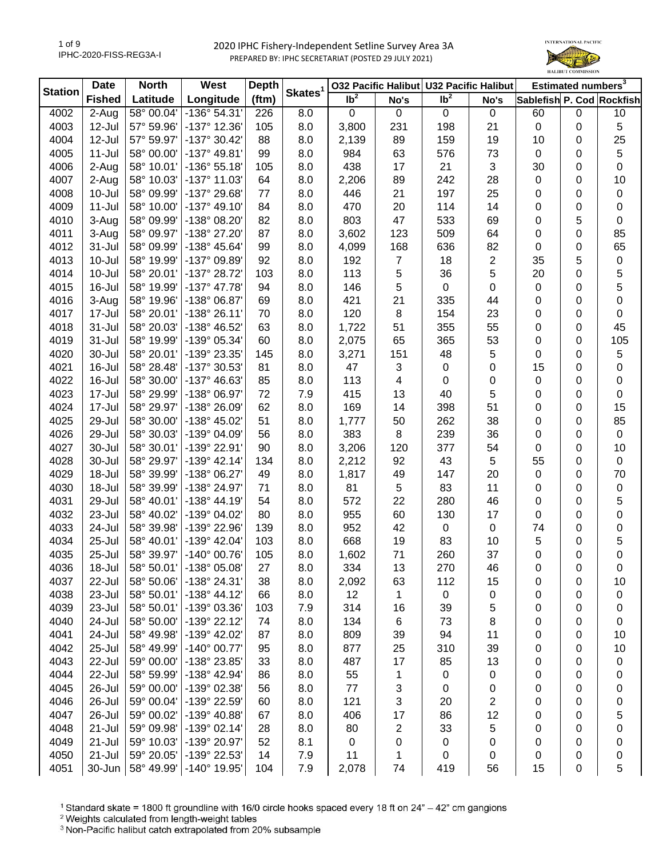

| <b>Station</b> | <b>Date</b>   | <b>North</b> | West                 | <b>Depth</b> | Skates <sup>1</sup> |                   |                | 032 Pacific Halibut U32 Pacific Halibut |             |                           | Estimated numbers <sup>3</sup> |             |
|----------------|---------------|--------------|----------------------|--------------|---------------------|-------------------|----------------|-----------------------------------------|-------------|---------------------------|--------------------------------|-------------|
|                | <b>Fished</b> | Latitude     | Longitude            | (ftm)        |                     | $\overline{1}b^2$ | No's           | $\overline{\mathsf{lb}^2}$              | No's        | Sablefish P. Cod Rockfish |                                |             |
| 4002           | 2-Aug         | 58° 00.04'   | -136° 54.31'         | 226          | 8.0                 | $\pmb{0}$         | $\mathbf 0$    | $\mathbf 0$                             | $\mathbf 0$ | 60                        | $\mathbf 0$                    | 10          |
| 4003           | 12-Jul        | 57° 59.96'   | -137° 12.36'         | 105          | 8.0                 | 3,800             | 231            | 198                                     | 21          | $\pmb{0}$                 | 0                              | 5           |
| 4004           | 12-Jul        | 57° 59.97'   | -137° 30.42'         | 88           | 8.0                 | 2,139             | 89             | 159                                     | 19          | 10                        | 0                              | 25          |
| 4005           | $11 -$ Jul    | 58° 00.00'   | -137° 49.81'         | 99           | 8.0                 | 984               | 63             | 576                                     | 73          | $\mathbf 0$               | 0                              | 5           |
| 4006           | 2-Aug         | 58° 10.01'   | -136° 55.18'         | 105          | 8.0                 | 438               | 17             | 21                                      | 3           | 30                        | 0                              | 0           |
| 4007           | 2-Aug         | 58° 10.03'   | -137° 11.03'         | 64           | 8.0                 | 2,206             | 89             | 242                                     | 28          | $\mathbf 0$               | 0                              | 10          |
| 4008           | 10-Jul        | 58° 09.99'   | -137° 29.68'         | 77           | 8.0                 | 446               | 21             | 197                                     | 25          | 0                         | 0                              | $\pmb{0}$   |
| 4009           | 11-Jul        | 58° 10.00'   | $-137°$ 49.10        | 84           | 8.0                 | 470               | 20             | 114                                     | 14          | 0                         | 0                              | 0           |
| 4010           | 3-Aug         | 58° 09.99'   | -138° 08.20'         | 82           | 8.0                 | 803               | 47             | 533                                     | 69          | 0                         | 5                              | 0           |
| 4011           | 3-Aug         | 58° 09.97'   | -138° 27.20'         | 87           | 8.0                 | 3,602             | 123            | 509                                     | 64          | 0                         | 0                              | 85          |
| 4012           | 31-Jul        | 58° 09.99'   | -138° 45.64'         | 99           | 8.0                 | 4,099             | 168            | 636                                     | 82          | 0                         | 0                              | 65          |
| 4013           | 10-Jul        | 58° 19.99'   | -137° 09.89'         | 92           | 8.0                 | 192               | $\overline{7}$ | 18                                      | 2           | 35                        | 5                              | 0           |
| 4014           | 10-Jul        | 58° 20.01'   | -137° 28.72'         | 103          | 8.0                 | 113               | 5              | 36                                      | 5           | 20                        | 0                              | 5           |
| 4015           | 16-Jul        | 58° 19.99'   | $-137^{\circ}$ 47.78 | 94           | 8.0                 | 146               | 5              | $\pmb{0}$                               | 0           | $\mathbf 0$               | 0                              | 5           |
| 4016           | 3-Aug         | 58° 19.96'   | -138° 06.87'         | 69           | 8.0                 | 421               | 21             | 335                                     | 44          | 0                         | 0                              | 0           |
| 4017           | 17-Jul        | 58° 20.01'   | $-138°26.11'$        | 70           | 8.0                 | 120               | 8              | 154                                     | 23          | 0                         | 0                              | 0           |
| 4018           | 31-Jul        | 58° 20.03'   | -138° 46.52'         | 63           | 8.0                 | 1,722             | 51             | 355                                     | 55          | 0                         | 0                              | 45          |
| 4019           | 31-Jul        | 58° 19.99'   | -139° 05.34'         | 60           | 8.0                 | 2,075             | 65             | 365                                     | 53          | 0                         | 0                              | 105         |
| 4020           | 30-Jul        | 58° 20.01'   | -139° 23.35'         | 145          | 8.0                 | 3,271             | 151            | 48                                      | 5           | 0                         | 0                              | 5           |
| 4021           | 16-Jul        | 58° 28.48'   | -137° 30.53'         | 81           | 8.0                 | 47                | $\sqrt{3}$     | 0                                       | 0           | 15                        | 0                              | 0           |
| 4022           | 16-Jul        | 58° 30.00'   | -137° 46.63'         | 85           | 8.0                 | 113               | 4              | 0                                       | 0           | $\mathbf 0$               | 0                              | 0           |
| 4023           | 17-Jul        | 58° 29.99'   | -138° 06.97'         | 72           | 7.9                 | 415               | 13             | 40                                      | 5           | 0                         | 0                              | 0           |
| 4024           | 17-Jul        | 58° 29.97'   | -138° 26.09'         | 62           | 8.0                 | 169               | 14             | 398                                     | 51          | 0                         | 0                              | 15          |
| 4025           | 29-Jul        | 58° 30.00'   | -138° 45.02'         | 51           | 8.0                 | 1,777             | 50             | 262                                     | 38          | 0                         | 0                              | 85          |
| 4026           | 29-Jul        | 58° 30.03'   | -139° 04.09'         | 56           | 8.0                 | 383               | 8              | 239                                     | 36          | 0                         | 0                              | $\mathbf 0$ |
| 4027           | 30-Jul        | 58° 30.01'   | -139° 22.91'         | 90           | 8.0                 | 3,206             | 120            | 377                                     | 54          | 0                         | 0                              | 10          |
| 4028           | 30-Jul        | 58° 29.97'   | -139° 42.14'         | 134          | 8.0                 | 2,212             | 92             | 43                                      | 5           | 55                        | 0                              | $\mathbf 0$ |
| 4029           | 18-Jul        | 58° 39.99'   | -138° 06.27'         | 49           | 8.0                 | 1,817             | 49             | 147                                     | 20          | $\pmb{0}$                 | 0                              | 70          |
| 4030           | 18-Jul        | 58° 39.99'   | -138° 24.97'         | 71           | 8.0                 | 81                | 5              | 83                                      | 11          | 0                         | 0                              | $\pmb{0}$   |
| 4031           | 29-Jul        | 58° 40.01'   | -138° 44.19'         | 54           | 8.0                 | 572               | 22             | 280                                     | 46          | 0                         | 0                              | 5           |
| 4032           | 23-Jul        | 58° 40.02'   | -139° 04.02'         | 80           | 8.0                 | 955               | 60             | 130                                     | 17          | 0                         | 0                              | 0           |
| 4033           | 24-Jul        | 58° 39.98'   | -139° 22.96'         | 139          | 8.0                 | 952               | 42             | 0                                       | $\mathbf 0$ | 74                        | 0                              | 0           |
| 4034           | 25-Jul        | 58° 40.01'   | -139° 42.04'         | 103          | 8.0                 | 668               | 19             | 83                                      | 10          | 5                         | 0                              | 5           |
| 4035           | 25-Jul        | 58° 39.97'   | -140° 00.76'         | 105          | 8.0                 | 1,602             | 71             | 260                                     | 37          | 0                         | 0                              | 0           |
| 4036           | 18-Jul        | 58° 50.01    | $-138°05.08$         | 27           | 8.0                 | 334               | 13             | 270                                     | 46          | 0                         | 0                              | 0           |
| 4037           | 22-Jul        | 58° 50.06'   | -138° 24.31'         | 38           | 8.0                 | 2,092             | 63             | 112                                     | 15          | 0                         | 0                              | 10          |
| 4038           | 23-Jul        | 58° 50.01'   | $-138° 44.12'$       | 66           | 8.0                 | 12                | 1              | 0                                       | 0           | 0                         | 0                              | 0           |
| 4039           | 23-Jul        | 58° 50.01'   | -139° 03.36'         | 103          | 7.9                 | 314               | 16             | 39                                      | 5           | 0                         | 0                              | 0           |
| 4040           | 24-Jul        | 58° 50.00'   | -139° 22.12'         | 74           | 8.0                 | 134               | 6              | 73                                      | 8           | 0                         | 0                              | 0           |
| 4041           | 24-Jul        | 58° 49.98'   | -139° 42.02'         | 87           | 8.0                 | 809               | 39             | 94                                      | 11          | 0                         | 0                              | 10          |
| 4042           | 25-Jul        | 58° 49.99'   | $-140^{\circ}$ 00.77 | 95           | 8.0                 | 877               | 25             | 310                                     | 39          | 0                         | 0                              | 10          |
| 4043           | 22-Jul        | 59° 00.00'   | -138° 23.85'         | 33           | 8.0                 | 487               | 17             | 85                                      | 13          | 0                         | 0                              | 0           |
| 4044           | 22-Jul        | 58° 59.99'   | -138° 42.94'         | 86           | 8.0                 | 55                | 1              | 0                                       | 0           | 0                         | 0                              | 0           |
| 4045           | 26-Jul        | 59° 00.00'   | -139° 02.38'         | 56           | 8.0                 | 77                | 3              | 0                                       | 0           | 0                         | 0                              | 0           |
| 4046           | 26-Jul        | 59° 00.04'   | -139° 22.59'         | 60           | 8.0                 | 121               | 3              | 20                                      | 2           | 0                         | 0                              | 0           |
| 4047           | 26-Jul        | 59° 00.02'   | -139° 40.88'         | 67           | 8.0                 | 406               | 17             | 86                                      | 12          | 0                         | 0                              | 5           |
| 4048           | 21-Jul        | 59° 09.98'   | -139° 02.14'         | 28           | 8.0                 | 80                | 2              | 33                                      | 5           | 0                         | 0                              | 0           |
| 4049           | 21-Jul        | 59° 10.03'   | -139° 20.97'         | 52           | 8.1                 | $\pmb{0}$         | 0              | 0                                       | 0           | 0                         | 0                              | 0           |
| 4050           | $21 -$ Jul    | 59° 20.05'   | -139° 22.53'         | 14           | 7.9                 | 11                | 1              | 0                                       | 0           | 0                         | 0                              | 0           |
| 4051           | 30-Jun        | 58° 49.99'   | $-140^{\circ}$ 19.95 | 104          | 7.9                 | 2,078             | 74             | 419                                     | 56          | 15                        | 0                              | 5           |

<sup>1</sup> Standard skate = 1800 ft groundline with 16/0 circle hooks spaced every 18 ft on 24" - 42" cm gangions

<sup>2</sup> Weights calculated from length-weight tables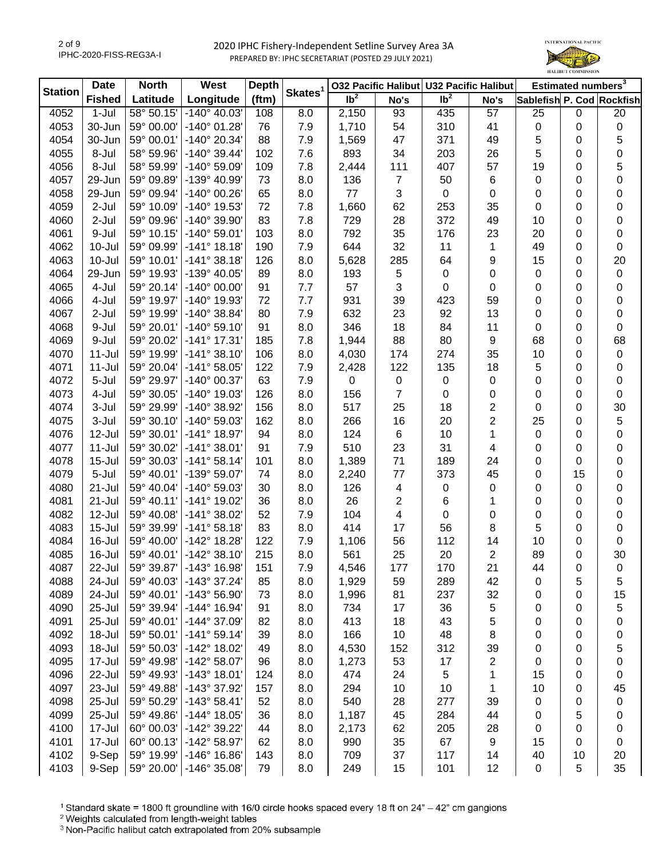

| Skates <sup>1</sup><br><b>Station</b><br>Ib <sup>2</sup><br>Ib <sup>2</sup><br>(ftm)<br>Longitude<br><b>Fished</b><br>Latitude<br>Sablefish P. Cod Rockfish<br>No's<br>No's<br>4052<br>$1-Jul$<br>58° 50.15'<br>$-140^{\circ}$ 40.03'<br>2,150<br>93<br>435<br>57<br>25<br>8.0<br>$\mathbf 0$<br>108<br>4053<br>30-Jun<br>59° 00.00'<br>$-140^{\circ}$ 01.28<br>310<br>41<br>76<br>7.9<br>1,710<br>54<br>$\pmb{0}$<br>0<br>5<br>4054<br>30-Jun<br>59° 00.01'<br>-140° 20.34'<br>88<br>47<br>371<br>49<br>7.9<br>1,569<br>0<br>5<br>4055<br>8-Jul<br>58° 59.96'<br>$-140^{\circ}$ 39.44'<br>7.6<br>893<br>34<br>203<br>26<br>102<br>0<br>4056<br>8-Jul<br>58° 59.99'<br>-140° 59.09'<br>7.8<br>111<br>407<br>57<br>109<br>2,444<br>19<br>0<br>$\overline{7}$<br>59° 09.89'<br>-139° 40.99'<br>136<br>50<br>6<br>4057<br>29-Jun<br>73<br>8.0<br>0<br>0<br>3<br>4058<br>59° 09.94'<br>-140° 00.26'<br>65<br>8.0<br>77<br>0<br>29-Jun<br>0<br>0<br>0<br>4059<br>$2-Jul$<br>59° 10.09'<br>-140° 19.53'<br>72<br>7.8<br>62<br>253<br>35<br>1,660<br>0<br>0<br>4060<br>2-Jul<br>59° 09.96'<br>-140° 39.90'<br>83<br>7.8<br>729<br>28<br>372<br>49<br>10<br>0<br>59° 10.15'<br>$-140^{\circ} 59.01'$<br>8.0<br>792<br>35<br>176<br>23<br>4061<br>9-Jul<br>103<br>20<br>0 | 20<br>$\pmb{0}$<br>5<br>0<br>5<br>0<br>0<br>0<br>0<br>0<br>0<br>20<br>$\pmb{0}$<br>0 |
|------------------------------------------------------------------------------------------------------------------------------------------------------------------------------------------------------------------------------------------------------------------------------------------------------------------------------------------------------------------------------------------------------------------------------------------------------------------------------------------------------------------------------------------------------------------------------------------------------------------------------------------------------------------------------------------------------------------------------------------------------------------------------------------------------------------------------------------------------------------------------------------------------------------------------------------------------------------------------------------------------------------------------------------------------------------------------------------------------------------------------------------------------------------------------------------------------------------------------------------------------------------|--------------------------------------------------------------------------------------|
|                                                                                                                                                                                                                                                                                                                                                                                                                                                                                                                                                                                                                                                                                                                                                                                                                                                                                                                                                                                                                                                                                                                                                                                                                                                                  |                                                                                      |
|                                                                                                                                                                                                                                                                                                                                                                                                                                                                                                                                                                                                                                                                                                                                                                                                                                                                                                                                                                                                                                                                                                                                                                                                                                                                  |                                                                                      |
|                                                                                                                                                                                                                                                                                                                                                                                                                                                                                                                                                                                                                                                                                                                                                                                                                                                                                                                                                                                                                                                                                                                                                                                                                                                                  |                                                                                      |
|                                                                                                                                                                                                                                                                                                                                                                                                                                                                                                                                                                                                                                                                                                                                                                                                                                                                                                                                                                                                                                                                                                                                                                                                                                                                  |                                                                                      |
|                                                                                                                                                                                                                                                                                                                                                                                                                                                                                                                                                                                                                                                                                                                                                                                                                                                                                                                                                                                                                                                                                                                                                                                                                                                                  |                                                                                      |
|                                                                                                                                                                                                                                                                                                                                                                                                                                                                                                                                                                                                                                                                                                                                                                                                                                                                                                                                                                                                                                                                                                                                                                                                                                                                  |                                                                                      |
|                                                                                                                                                                                                                                                                                                                                                                                                                                                                                                                                                                                                                                                                                                                                                                                                                                                                                                                                                                                                                                                                                                                                                                                                                                                                  |                                                                                      |
|                                                                                                                                                                                                                                                                                                                                                                                                                                                                                                                                                                                                                                                                                                                                                                                                                                                                                                                                                                                                                                                                                                                                                                                                                                                                  |                                                                                      |
|                                                                                                                                                                                                                                                                                                                                                                                                                                                                                                                                                                                                                                                                                                                                                                                                                                                                                                                                                                                                                                                                                                                                                                                                                                                                  |                                                                                      |
|                                                                                                                                                                                                                                                                                                                                                                                                                                                                                                                                                                                                                                                                                                                                                                                                                                                                                                                                                                                                                                                                                                                                                                                                                                                                  |                                                                                      |
|                                                                                                                                                                                                                                                                                                                                                                                                                                                                                                                                                                                                                                                                                                                                                                                                                                                                                                                                                                                                                                                                                                                                                                                                                                                                  |                                                                                      |
| 32<br>11<br>4062<br>10-Jul<br>59° 09.99'<br>$-141°$ 18.18<br>7.9<br>644<br>49<br>0<br>190<br>1                                                                                                                                                                                                                                                                                                                                                                                                                                                                                                                                                                                                                                                                                                                                                                                                                                                                                                                                                                                                                                                                                                                                                                   |                                                                                      |
| 9<br>4063<br>$10 -$ Jul<br>59° 10.01'<br>$-141°38.18'$<br>126<br>8.0<br>5,628<br>285<br>64<br>15<br>0                                                                                                                                                                                                                                                                                                                                                                                                                                                                                                                                                                                                                                                                                                                                                                                                                                                                                                                                                                                                                                                                                                                                                            |                                                                                      |
| 5<br>4064<br>59° 19.93'<br>-139° 40.05'<br>8.0<br>193<br>$\pmb{0}$<br>0<br>29-Jun<br>89<br>$\mathbf 0$<br>0                                                                                                                                                                                                                                                                                                                                                                                                                                                                                                                                                                                                                                                                                                                                                                                                                                                                                                                                                                                                                                                                                                                                                      |                                                                                      |
| $\mathfrak{S}$<br>4065<br>4-Jul<br>$-140^{\circ}$ 00.00'<br>91<br>57<br>0<br>0<br>59° 20.14'<br>7.7<br>0<br>0                                                                                                                                                                                                                                                                                                                                                                                                                                                                                                                                                                                                                                                                                                                                                                                                                                                                                                                                                                                                                                                                                                                                                    |                                                                                      |
| 4066<br>4-Jul<br>59° 19.97'<br>-140° 19.93'<br>72<br>7.7<br>931<br>39<br>423<br>59<br>0<br>0                                                                                                                                                                                                                                                                                                                                                                                                                                                                                                                                                                                                                                                                                                                                                                                                                                                                                                                                                                                                                                                                                                                                                                     | 0                                                                                    |
| 92<br>13<br>4067<br>59° 19.99'<br>$-140^{\circ}$ 38.84'<br>7.9<br>632<br>23<br>0<br>2-Jul<br>80<br>0                                                                                                                                                                                                                                                                                                                                                                                                                                                                                                                                                                                                                                                                                                                                                                                                                                                                                                                                                                                                                                                                                                                                                             | 0                                                                                    |
| 11<br>9-Jul<br>59° 20.01'<br>$-140^{\circ} 59.10'$<br>91<br>8.0<br>346<br>18<br>84<br>4068<br>0<br>0                                                                                                                                                                                                                                                                                                                                                                                                                                                                                                                                                                                                                                                                                                                                                                                                                                                                                                                                                                                                                                                                                                                                                             | 0                                                                                    |
| $-141°$ 17.31<br>88<br>80<br>9<br>68<br>4069<br>9-Jul<br>59° 20.02'<br>185<br>7.8<br>1,944<br>0                                                                                                                                                                                                                                                                                                                                                                                                                                                                                                                                                                                                                                                                                                                                                                                                                                                                                                                                                                                                                                                                                                                                                                  | 68                                                                                   |
| 35<br>4070<br>$11 -$ Jul<br>59° 19.99'<br>$-141°38.10'$<br>8.0<br>174<br>274<br>10<br>106<br>4,030<br>0                                                                                                                                                                                                                                                                                                                                                                                                                                                                                                                                                                                                                                                                                                                                                                                                                                                                                                                                                                                                                                                                                                                                                          | 0                                                                                    |
| 4071<br>$11 -$ Jul<br>59° 20.04'<br>$-141°58.05'$<br>122<br>122<br>135<br>18<br>5<br>7.9<br>2,428<br>0                                                                                                                                                                                                                                                                                                                                                                                                                                                                                                                                                                                                                                                                                                                                                                                                                                                                                                                                                                                                                                                                                                                                                           | 0                                                                                    |
| 4072<br>5-Jul<br>59° 29.97'<br>-140° 00.37'<br>63<br>7.9<br>0<br>$\pmb{0}$<br>0<br>0<br>0<br>0                                                                                                                                                                                                                                                                                                                                                                                                                                                                                                                                                                                                                                                                                                                                                                                                                                                                                                                                                                                                                                                                                                                                                                   | 0                                                                                    |
| $\overline{7}$<br>4073<br>4-Jul<br>59° 30.05'<br>-140° 19.03'<br>8.0<br>156<br>0<br>126<br>0<br>0<br>0                                                                                                                                                                                                                                                                                                                                                                                                                                                                                                                                                                                                                                                                                                                                                                                                                                                                                                                                                                                                                                                                                                                                                           | 0                                                                                    |
| 2<br>4074<br>59° 29.99'<br>-140° 38.92'<br>25<br>18<br>0<br>3-Jul<br>156<br>8.0<br>517<br>0                                                                                                                                                                                                                                                                                                                                                                                                                                                                                                                                                                                                                                                                                                                                                                                                                                                                                                                                                                                                                                                                                                                                                                      | 30                                                                                   |
| 2<br>4075<br>3-Jul<br>59° 30.10'<br>-140° 59.03'<br>162<br>8.0<br>266<br>16<br>20<br>25<br>0                                                                                                                                                                                                                                                                                                                                                                                                                                                                                                                                                                                                                                                                                                                                                                                                                                                                                                                                                                                                                                                                                                                                                                     | 5                                                                                    |
| 12-Jul<br>59° 30.01'<br>$-141^{\circ}$ 18.97'<br>8.0<br>124<br>$\,6$<br>10<br>1<br>$\pmb{0}$<br>4076<br>94<br>0                                                                                                                                                                                                                                                                                                                                                                                                                                                                                                                                                                                                                                                                                                                                                                                                                                                                                                                                                                                                                                                                                                                                                  | 0                                                                                    |
| 510<br>31<br>4077<br>$11 -$ Jul<br>59° 30.02'<br>$-141°38.01'$<br>7.9<br>23<br>91<br>4<br>0<br>0                                                                                                                                                                                                                                                                                                                                                                                                                                                                                                                                                                                                                                                                                                                                                                                                                                                                                                                                                                                                                                                                                                                                                                 | 0                                                                                    |
| 71<br>4078<br>$15 -$ Jul<br>59° 30.03'<br>$-141°58.14'$<br>8.0<br>189<br>24<br>0<br>0<br>101<br>1,389                                                                                                                                                                                                                                                                                                                                                                                                                                                                                                                                                                                                                                                                                                                                                                                                                                                                                                                                                                                                                                                                                                                                                            | 0                                                                                    |
| 4079<br>5-Jul<br>59° 40.01'<br>-139° 59.07'<br>8.0<br>2,240<br>$77$<br>373<br>45<br>0<br>15<br>74                                                                                                                                                                                                                                                                                                                                                                                                                                                                                                                                                                                                                                                                                                                                                                                                                                                                                                                                                                                                                                                                                                                                                                | 0                                                                                    |
| 4080<br>$21 -$ Jul<br>59° 40.04'<br>-140° 59.03'<br>8.0<br>126<br>4<br>0<br>0<br>30<br>0<br>0                                                                                                                                                                                                                                                                                                                                                                                                                                                                                                                                                                                                                                                                                                                                                                                                                                                                                                                                                                                                                                                                                                                                                                    | 0                                                                                    |
| 6<br>4081<br>21-Jul<br>59° 40.11'<br>-141° 19.02'<br>36<br>26<br>2<br>1<br>0<br>8.0<br>0                                                                                                                                                                                                                                                                                                                                                                                                                                                                                                                                                                                                                                                                                                                                                                                                                                                                                                                                                                                                                                                                                                                                                                         | 0                                                                                    |
| 4<br>4082<br>$12 -$ Jul<br>59° 40.08'<br>$-141°38.02'$<br>52<br>7.9<br>104<br>$\pmb{0}$<br>0<br>0<br>0                                                                                                                                                                                                                                                                                                                                                                                                                                                                                                                                                                                                                                                                                                                                                                                                                                                                                                                                                                                                                                                                                                                                                           | 0                                                                                    |
| 5<br>4083<br>$15 -$ Jul<br>59° 39.99'<br>$-141°58.18'$<br>83<br>8.0<br>414<br>17<br>56<br>8<br>0                                                                                                                                                                                                                                                                                                                                                                                                                                                                                                                                                                                                                                                                                                                                                                                                                                                                                                                                                                                                                                                                                                                                                                 | 0                                                                                    |
| 112<br>4084<br>16-Jul<br>59° 40.00'<br>-142° 18.28'<br>122<br>7.9<br>1,106<br>56<br>14<br>10<br>0                                                                                                                                                                                                                                                                                                                                                                                                                                                                                                                                                                                                                                                                                                                                                                                                                                                                                                                                                                                                                                                                                                                                                                | $\pmb{0}$                                                                            |
| 20<br>$\overline{2}$<br>4085<br>59° 40.01'<br>$-142°38.10'$<br>215<br>8.0<br>25<br>89<br>16-Jul<br>561<br>0                                                                                                                                                                                                                                                                                                                                                                                                                                                                                                                                                                                                                                                                                                                                                                                                                                                                                                                                                                                                                                                                                                                                                      | 30                                                                                   |
| 4087<br>22-Jul<br>59° 39.87'<br>$-143°$ 16.98<br>151<br>7.9<br>4,546<br>177<br>170<br>21<br>44<br>0                                                                                                                                                                                                                                                                                                                                                                                                                                                                                                                                                                                                                                                                                                                                                                                                                                                                                                                                                                                                                                                                                                                                                              | 0                                                                                    |
| 289<br>42<br>5<br>4088<br>24-Jul<br>59° 40.03'<br>$-143°37.24'$<br>85<br>8.0<br>1,929<br>59<br>0                                                                                                                                                                                                                                                                                                                                                                                                                                                                                                                                                                                                                                                                                                                                                                                                                                                                                                                                                                                                                                                                                                                                                                 | 5                                                                                    |
| 24-Jul<br>59° 40.01'<br>-143° 56.90'<br>237<br>32<br>4089<br>8.0<br>1,996<br>81<br>73<br>0<br>0                                                                                                                                                                                                                                                                                                                                                                                                                                                                                                                                                                                                                                                                                                                                                                                                                                                                                                                                                                                                                                                                                                                                                                  | 15                                                                                   |
| 25-Jul<br>-144° 16.94'<br>36<br>5<br>4090<br>59° 39.94'<br>8.0<br>734<br>17<br>91<br>0<br>0                                                                                                                                                                                                                                                                                                                                                                                                                                                                                                                                                                                                                                                                                                                                                                                                                                                                                                                                                                                                                                                                                                                                                                      | 5                                                                                    |
| 25-Jul<br>413<br>43<br>5<br>4091<br>59° 40.01'<br>-144° 37.09'<br>82<br>8.0<br>18<br>0<br>0                                                                                                                                                                                                                                                                                                                                                                                                                                                                                                                                                                                                                                                                                                                                                                                                                                                                                                                                                                                                                                                                                                                                                                      | 0                                                                                    |
| 18-Jul<br>59° 50.01'<br>$-141°59.14'$<br>166<br>10<br>48<br>8<br>4092<br>39<br>8.0<br>0<br>0                                                                                                                                                                                                                                                                                                                                                                                                                                                                                                                                                                                                                                                                                                                                                                                                                                                                                                                                                                                                                                                                                                                                                                     | 0                                                                                    |
| 18-Jul<br>59° 50.03'<br>-142° 18.02'<br>312<br>39<br>4093<br>8.0<br>4,530<br>152<br>0<br>49<br>0                                                                                                                                                                                                                                                                                                                                                                                                                                                                                                                                                                                                                                                                                                                                                                                                                                                                                                                                                                                                                                                                                                                                                                 | 5                                                                                    |
| $\overline{\mathbf{c}}$<br>17-Jul<br>59° 49.98'<br>-142° 58.07'<br>53<br>17<br>4095<br>96<br>8.0<br>1,273<br>0<br>0                                                                                                                                                                                                                                                                                                                                                                                                                                                                                                                                                                                                                                                                                                                                                                                                                                                                                                                                                                                                                                                                                                                                              | 0                                                                                    |
| 5<br>22-Jul<br>59° 49.93'<br>$-143°$ 18.01<br>24<br>1<br>15<br>4096<br>124<br>8.0<br>474<br>0                                                                                                                                                                                                                                                                                                                                                                                                                                                                                                                                                                                                                                                                                                                                                                                                                                                                                                                                                                                                                                                                                                                                                                    | 0                                                                                    |
| 4097<br>23-Jul<br>59° 49.88'<br>-143° 37.92'<br>8.0<br>294<br>10<br>10<br>1<br>10<br>0<br>157                                                                                                                                                                                                                                                                                                                                                                                                                                                                                                                                                                                                                                                                                                                                                                                                                                                                                                                                                                                                                                                                                                                                                                    | 45                                                                                   |
| 4098<br>25-Jul<br>59° 50.29'<br>$-143°58.41'$<br>540<br>277<br>39<br>52<br>8.0<br>28<br>0<br>0                                                                                                                                                                                                                                                                                                                                                                                                                                                                                                                                                                                                                                                                                                                                                                                                                                                                                                                                                                                                                                                                                                                                                                   | 0                                                                                    |
| 4099<br>25-Jul<br>59° 49.86'<br>$-144^{\circ}$ 18.05'<br>8.0<br>1,187<br>284<br>44<br>5<br>36<br>45<br>0                                                                                                                                                                                                                                                                                                                                                                                                                                                                                                                                                                                                                                                                                                                                                                                                                                                                                                                                                                                                                                                                                                                                                         | 0                                                                                    |
| 4100<br>17-Jul<br>60° 00.03'<br>-142° 39.22'<br>205<br>28<br>0<br>44<br>8.0<br>2,173<br>62<br>0                                                                                                                                                                                                                                                                                                                                                                                                                                                                                                                                                                                                                                                                                                                                                                                                                                                                                                                                                                                                                                                                                                                                                                  | 0                                                                                    |
| 4101<br>17-Jul<br>60° 00.13'<br>-142° 58.97'<br>67<br>9<br>62<br>8.0<br>990<br>35<br>15<br>0                                                                                                                                                                                                                                                                                                                                                                                                                                                                                                                                                                                                                                                                                                                                                                                                                                                                                                                                                                                                                                                                                                                                                                     | 0                                                                                    |
| 4102<br>9-Sep<br>59° 19.99'<br>$-146°$ 16.86<br>8.0<br>709<br>117<br>14<br>40<br>143<br>37<br>10                                                                                                                                                                                                                                                                                                                                                                                                                                                                                                                                                                                                                                                                                                                                                                                                                                                                                                                                                                                                                                                                                                                                                                 |                                                                                      |
| $-146°35.08'$<br>35<br>4103<br>9-Sep<br>59° 20.00'<br>249<br>15<br>101<br>12<br>$\pmb{0}$<br>5<br>79<br>8.0                                                                                                                                                                                                                                                                                                                                                                                                                                                                                                                                                                                                                                                                                                                                                                                                                                                                                                                                                                                                                                                                                                                                                      | 20                                                                                   |

<sup>1</sup> Standard skate = 1800 ft groundline with 16/0 circle hooks spaced every 18 ft on 24" - 42" cm gangions

<sup>2</sup> Weights calculated from length-weight tables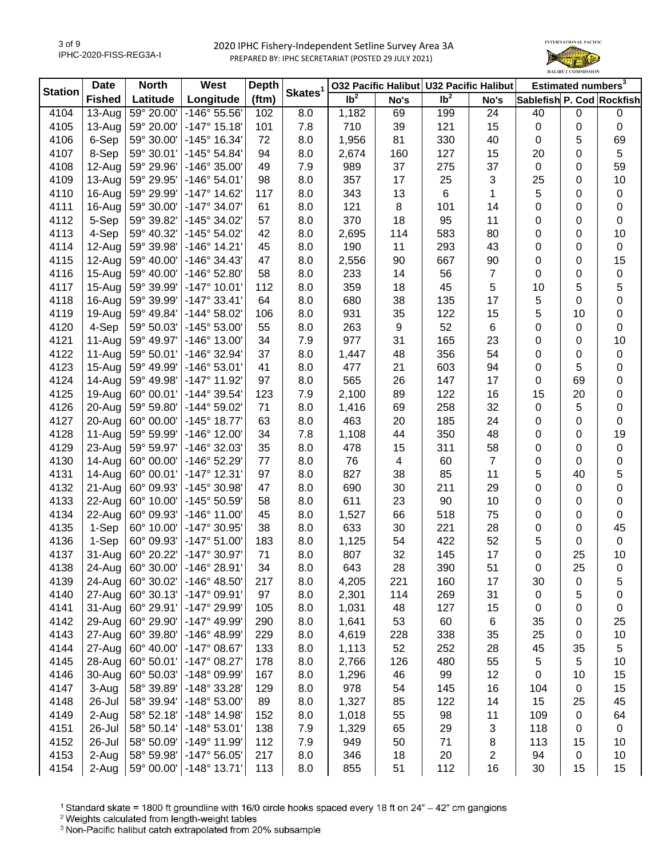

| <b>Station</b> | <b>Date</b>   | <b>North</b> | West                         | <b>Depth</b> | Skates <sup>1</sup> | 032 Pacific Halibut U32 Pacific Halibut |      |                 |                | Estimated numbers <sup>3</sup> |             |                           |
|----------------|---------------|--------------|------------------------------|--------------|---------------------|-----------------------------------------|------|-----------------|----------------|--------------------------------|-------------|---------------------------|
|                | <b>Fished</b> | Latitude     | Longitude                    | (ftm)        |                     | $\overline{1}b^2$                       | No's | Ib <sup>2</sup> | No's           |                                |             | Sablefish P. Cod Rockfish |
| 4104           | $13-Auq$      | 59° 20.00'   | -146° 55.56'                 | 102          | 8.0                 | 1,182                                   | 69   | 199             | 24             | 40                             | $\mathbf 0$ | 0                         |
| 4105           | $13-Auq$      | 59° 20.00'   | $-147°$ 15.18                | 101          | 7.8                 | 710                                     | 39   | 121             | 15             | $\pmb{0}$                      | 0           | $\pmb{0}$                 |
| 4106           | 6-Sep         | 59° 30.00'   | -145° 16.34'                 | 72           | 8.0                 | 1,956                                   | 81   | 330             | 40             | $\mathbf 0$                    | 5           | 69                        |
| 4107           | 8-Sep         | 59° 30.01'   | $-145°54.84'$                | 94           | 8.0                 | 2,674                                   | 160  | 127             | 15             | 20                             | 0           | 5                         |
| 4108           | $12-Auq$      | 59° 29.96'   | $-146°35.00'$                | 49           | 7.9                 | 989                                     | 37   | 275             | 37             | $\mathbf 0$                    | 0           | 59                        |
| 4109           | $13-Auq$      | 59° 29.95'   | $-146°54.01'$                | 98           | 8.0                 | 357                                     | 17   | 25              | 3              | 25                             | 0           | 10                        |
| 4110           | 16-Aug        | 59° 29.99'   | $-147°$ 14.62                | 117          | 8.0                 | 343                                     | 13   | 6               | 1              | 5                              | 0           | 0                         |
| 4111           | 16-Aug        | 59° 30.00'   | $-147^{\circ}$ 34.07'        | 61           | 8.0                 | 121                                     | 8    | 101             | 14             | 0                              | 0           | 0                         |
| 4112           | 5-Sep         | 59° 39.82'   | -145° 34.02'                 | 57           | 8.0                 | 370                                     | 18   | 95              | 11             | 0                              | 0           | 0                         |
| 4113           | 4-Sep         | 59° 40.32'   | -145° 54.02'                 | 42           | 8.0                 | 2,695                                   | 114  | 583             | 80             | 0                              | 0           | 10                        |
| 4114           | 12-Aug        | 59° 39.98'   | $-146°$ 14.21                | 45           | 8.0                 | 190                                     | 11   | 293             | 43             | 0                              | 0           | 0                         |
| 4115           | 12-Aug        | 59° 40.00'   | $-146°34.43'$                | 47           | 8.0                 | 2,556                                   | 90   | 667             | 90             | 0                              | 0           | 15                        |
| 4116           | 15-Aug        | 59° 40.00'   | -146° 52.80'                 | 58           | 8.0                 | 233                                     | 14   | 56              | 7              | 0                              | 0           | $\pmb{0}$                 |
| 4117           | $15-Au$ g     | 59° 39.99'   | $-147°$ 10.01                | 112          | 8.0                 | 359                                     | 18   | 45              | 5              | 10                             | 5           | 5                         |
| 4118           | 16-Aug        | 59° 39.99'   | $-147°33.41'$                | 64           | 8.0                 | 680                                     | 38   | 135             | 17             | 5                              | $\mathbf 0$ | 0                         |
| 4119           | 19-Aug        | 59° 49.84'   | $-144^{\circ} 58.02^{\circ}$ | 106          | 8.0                 | 931                                     | 35   | 122             | 15             | 5                              | 10          | 0                         |
| 4120           | 4-Sep         | 59° 50.03'   | -145° 53.00'                 | 55           | 8.0                 | 263                                     | 9    | 52              | 6              | 0                              | 0           | 0                         |
| 4121           | $11-Auq$      | 59° 49.97'   | -146° 13.00'                 | 34           | 7.9                 | 977                                     | 31   | 165             | 23             | 0                              | 0           | 10                        |
| 4122           | $11-Auq$      | 59° 50.01'   | -146° 32.94'                 | 37           | 8.0                 | 1,447                                   | 48   | 356             | 54             | 0                              | 0           | $\pmb{0}$                 |
| 4123           | $15-Au$ g     | 59° 49.99'   | $-146°53.01'$                | 41           | 8.0                 | 477                                     | 21   | 603             | 94             | 0                              | 5           | 0                         |
| 4124           | 14-Aug        | 59° 49.98'   | -147° 11.92'                 | 97           | 8.0                 | 565                                     | 26   | 147             | 17             | 0                              | 69          | 0                         |
| 4125           | 19-Aug        | 60° 00.01'   | -144° 39.54'                 | 123          | 7.9                 | 2,100                                   | 89   | 122             | 16             | 15                             | 20          | 0                         |
| 4126           | 20-Aug        | 59° 59.80'   | -144° 59.02'                 | 71           | 8.0                 | 1,416                                   | 69   | 258             | 32             | $\mathbf 0$                    | 5           | 0                         |
| 4127           | 20-Aug        | 60° 00.00'   | $-145°$ 18.77'               | 63           | 8.0                 | 463                                     | 20   | 185             | 24             | 0                              | 0           | 0                         |
| 4128           | 11-Aug        | 59° 59.99'   | $-146°$ 12.00'               | 34           | 7.8                 |                                         | 44   | 350             | 48             | 0                              |             | 19                        |
|                |               |              |                              | 35           |                     | 1,108<br>478                            |      |                 |                |                                | 0           |                           |
| 4129           | 23-Aug        | 59° 59.97'   | -146° 32.03'                 |              | 8.0                 |                                         | 15   | 311             | 58             | 0                              | 0           | $\pmb{0}$                 |
| 4130           | 14-Aug        | 60° 00.00'   | -146° 52.29'                 | 77           | 8.0                 | 76                                      | 4    | 60              | $\overline{7}$ | 0                              | 0           | 0                         |
| 4131           | $14 - Aug$    | 60° 00.01'   | $-147°$ 12.31'               | 97           | 8.0                 | 827                                     | 38   | 85              | 11             | 5                              | 40          | 5                         |
| 4132           | 21-Aug        | 60° 09.93'   | -145° 30.98'                 | 47           | 8.0                 | 690                                     | 30   | 211             | 29             | 0                              | $\mathbf 0$ | 0                         |
| 4133           | 22-Aug        | 60° 10.00'   | -145° 50.59'                 | 58           | 8.0                 | 611                                     | 23   | 90              | 10             | 0                              | 0           | 0                         |
| 4134           | 22-Aug        | 60° 09.93'   | $-146^{\circ}$ 11.00         | 45           | 8.0                 | 1,527                                   | 66   | 518             | 75             | 0                              | 0           | 0                         |
| 4135           | 1-Sep         | 60° 10.00'   | -147° 30.95'                 | 38           | 8.0                 | 633                                     | 30   | 221             | 28             | 0                              | 0           | 45                        |
| 4136           | 1-Sep         | 60° 09.93'   | $-147°51.00'$                | 183          | 8.0                 | 1,125                                   | 54   | 422             | 52             | 5                              | 0           | $\mathbf 0$               |
| 4137           | 31-Aug        | 60° 20.22'   | -147° 30.97'                 | 71           | 8.0                 | 807                                     | 32   | 145             | 17             | 0                              | 25          | 10                        |
| 4138           | 24-Aug        | 60° 30.00'   | -146° 28.91                  | 34           | 8.0                 | 643                                     | 28   | 390             | 51             | 0                              | 25          | 0                         |
| 4139           | 24-Aug        | 60° 30.02'   | $-146^{\circ}$ 48.50         | 217          | 8.0                 | 4,205                                   | 221  | 160             | 17             | 30                             | 0           | 5                         |
| 4140           | 27-Aug        | 60° 30.13'   | $-147°09.91'$                | 97           | 8.0                 | 2,301                                   | 114  | 269             | 31             | 0                              | 5           | 0                         |
| 4141           | 31-Aug        | 60° 29.91'   | -147° 29.99'                 | 105          | 8.0                 | 1,031                                   | 48   | 127             | 15             | 0                              | 0           | 0                         |
| 4142           | 29-Aug        | 60° 29.90'   | $-147^{\circ}$ 49.99         | 290          | 8.0                 | 1,641                                   | 53   | 60              | 6              | 35                             | 0           | 25                        |
| 4143           | 27-Aug        | 60° 39.80'   | -146° 48.99'                 | 229          | 8.0                 | 4,619                                   | 228  | 338             | 35             | 25                             | 0           | 10                        |
| 4144           | 27-Aug        | 60° 40.00'   | $-147^{\circ}$ 08.67'        | 133          | 8.0                 | 1,113                                   | 52   | 252             | 28             | 45                             | 35          | 5                         |
| 4145           | 28-Aug        | 60° 50.01'   | $-147°08.27'$                | 178          | 8.0                 | 2,766                                   | 126  | 480             | 55             | 5                              | 5           | 10                        |
| 4146           | 30-Aug        | 60° 50.03'   | -148° 09.99'                 | 167          | 8.0                 | 1,296                                   | 46   | 99              | 12             | 0                              | 10          | 15                        |
| 4147           | 3-Aug         | 58° 39.89'   | -148° 33.28'                 | 129          | 8.0                 | 978                                     | 54   | 145             | 16             | 104                            | $\mathbf 0$ | 15                        |
| 4148           | 26-Jul        | 58° 39.94'   | -148° 53.00'                 | 89           | 8.0                 | 1,327                                   | 85   | 122             | 14             | 15                             | 25          | 45                        |
| 4149           | 2-Aug         | 58° 52.18'   | $-148°$ 14.98                | 152          | 8.0                 | 1,018                                   | 55   | 98              | 11             | 109                            | $\mathbf 0$ | 64                        |
| 4151           | 26-Jul        | 58° 50.14'   | $-148°53.01'$                | 138          | 7.9                 | 1,329                                   | 65   | 29              | 3              | 118                            | 0           | $\mathbf 0$               |
| 4152           | 26-Jul        | 58° 50.09'   | -149° 11.99'                 | 112          | 7.9                 | 949                                     | 50   | 71              | 8              | 113                            | 15          | 10                        |
| 4153           | 2-Aug         | 58° 59.98'   | $-147°56.05'$                | 217          | 8.0                 | 346                                     | 18   | 20              | 2              | 94                             | $\pmb{0}$   | 10                        |
| 4154           | 2-Aug         | 59° 00.00'   | $-148^\circ$ 13.71'          | 113          | 8.0                 | 855                                     | 51   | 112             | 16             | 30                             | 15          | 15                        |

<sup>1</sup> Standard skate = 1800 ft groundline with 16/0 circle hooks spaced every 18 ft on 24" - 42" cm gangions

<sup>2</sup> Weights calculated from length-weight tables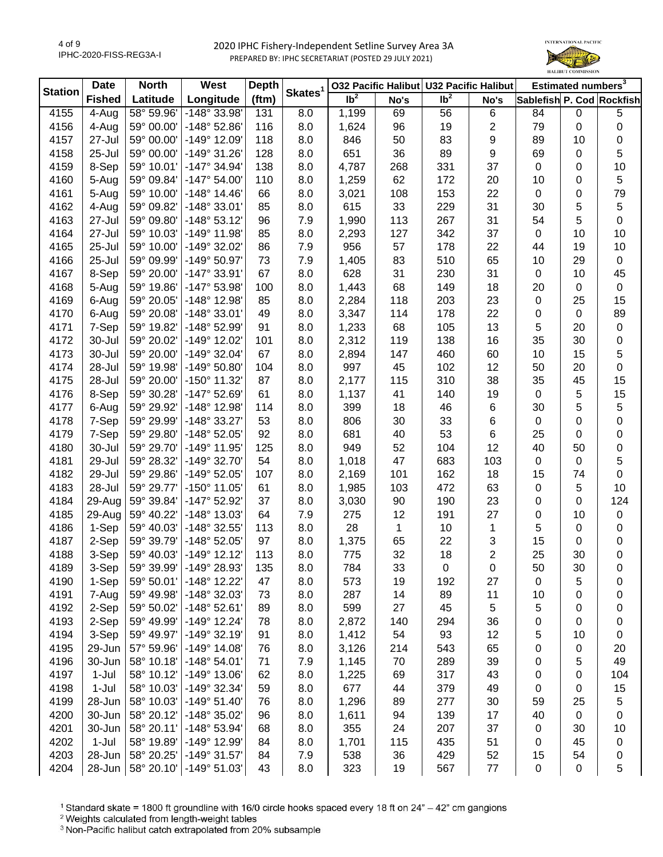

| <b>Station</b> | <b>Date</b>   | <b>North</b> | West                  | <b>Depth</b> | Skates <sup>1</sup> | 032 Pacific Halibut U32 Pacific Halibut |      |                            |                | Estimated numbers <sup>3</sup> |             |                           |
|----------------|---------------|--------------|-----------------------|--------------|---------------------|-----------------------------------------|------|----------------------------|----------------|--------------------------------|-------------|---------------------------|
|                | <b>Fished</b> | Latitude     | Longitude             | (ftm)        |                     | $\overline{1}b^2$                       | No's | $\overline{\mathsf{lb}^2}$ | No's           |                                |             | Sablefish P. Cod Rockfish |
| 4155           | 4-Aug         | 58° 59.96'   | -148° 33.98'          | 131          | 8.0                 | 1,199                                   | 69   | 56                         | 6              | 84                             | $\mathbf 0$ | 5                         |
| 4156           | 4-Aug         | 59° 00.00'   | $-148°52.86'$         | 116          | 8.0                 | 1,624                                   | 96   | 19                         | 2              | 79                             | 0           | 0                         |
| 4157           | 27-Jul        | 59° 00.00'   | $-149°$ 12.09         | 118          | 8.0                 | 846                                     | 50   | 83                         | 9              | 89                             | 10          | 0                         |
| 4158           | 25-Jul        | 59° 00.00'   | $-149°31.26'$         | 128          | 8.0                 | 651                                     | 36   | 89                         | 9              | 69                             | 0           | 5                         |
| 4159           | 8-Sep         | 59° 10.01'   | -147° 34.94'          | 138          | 8.0                 | 4,787                                   | 268  | 331                        | 37             | $\mathbf 0$                    | 0           | 10                        |
| 4160           | 5-Aug         | 59° 09.84'   | $-147°54.00'$         | 110          | 8.0                 | 1,259                                   | 62   | 172                        | 20             | 10                             | 0           | 5                         |
| 4161           | 5-Aug         | 59° 10.00'   | $-148^\circ$ 14.46    | 66           | 8.0                 | 3,021                                   | 108  | 153                        | 22             | $\boldsymbol{0}$               | 0           | 79                        |
| 4162           | 4-Aug         | 59° 09.82'   | -148° 33.01'          | 85           | 8.0                 | 615                                     | 33   | 229                        | 31             | 30                             | 5           | 5                         |
| 4163           | 27-Jul        | 59° 09.80'   | $-148°53.12'$         | 96           | 7.9                 | 1,990                                   | 113  | 267                        | 31             | 54                             | 5           | $\pmb{0}$                 |
| 4164           | 27-Jul        | 59° 10.03'   | $-149°$ 11.98'        | 85           | 8.0                 | 2,293                                   | 127  | 342                        | 37             | $\boldsymbol{0}$               | 10          | 10                        |
| 4165           | 25-Jul        | 59° 10.00'   | $-149°32.02'$         | 86           | 7.9                 | 956                                     | 57   | 178                        | 22             | 44                             | 19          | $10$                      |
| 4166           | 25-Jul        | 59° 09.99'   | -149° 50.97'          | 73           | 7.9                 | 1,405                                   | 83   | 510                        | 65             | 10                             | 29          | $\mathbf 0$               |
| 4167           | 8-Sep         | 59° 20.00'   | -147° 33.91'          | 67           | 8.0                 | 628                                     | 31   | 230                        | 31             | $\boldsymbol{0}$               | 10          | 45                        |
| 4168           | 5-Aug         | 59° 19.86'   | -147° 53.98'          | 100          | 8.0                 | 1,443                                   | 68   | 149                        | 18             | 20                             | $\mathbf 0$ | $\mathbf 0$               |
| 4169           | 6-Aug         | 59° 20.05'   | -148° 12.98'          | 85           | 8.0                 | 2,284                                   | 118  | 203                        | 23             | $\pmb{0}$                      | 25          | 15                        |
| 4170           | 6-Aug         | 59° 20.08'   | -148° 33.01'          | 49           | 8.0                 | 3,347                                   | 114  | 178                        | 22             | $\mathbf 0$                    | $\mathbf 0$ | 89                        |
| 4171           | 7-Sep         | 59° 19.82'   | -148° 52.99'          | 91           | 8.0                 | 1,233                                   | 68   | 105                        | 13             | 5                              | 20          | $\pmb{0}$                 |
| 4172           | 30-Jul        | 59° 20.02'   | -149° 12.02'          | 101          | 8.0                 | 2,312                                   | 119  | 138                        | 16             | 35                             | 30          | 0                         |
| 4173           | 30-Jul        | 59° 20.00'   | -149° 32.04'          | 67           | 8.0                 | 2,894                                   | 147  | 460                        | 60             | 10                             | 15          | 5                         |
| 4174           | 28-Jul        | 59° 19.98'   | -149° 50.80'          | 104          | 8.0                 | 997                                     | 45   | 102                        | 12             | 50                             | 20          | 0                         |
| 4175           | 28-Jul        | 59° 20.00'   | $-150^{\circ}$ 11.32' | 87           | 8.0                 | 2,177                                   | 115  | 310                        | 38             | 35                             | 45          | 15                        |
| 4176           | 8-Sep         | 59° 30.28'   | -147° 52.69'          | 61           | 8.0                 | 1,137                                   | 41   | 140                        | 19             | $\mathbf 0$                    | $\sqrt{5}$  | 15                        |
| 4177           | 6-Aug         | 59° 29.92'   | -148° 12.98'          | 114          | 8.0                 | 399                                     | 18   | 46                         | 6              | 30                             | 5           | 5                         |
| 4178           | 7-Sep         | 59° 29.99'   | -148° 33.27'          | 53           | 8.0                 | 806                                     | 30   | 33                         | 6              | $\pmb{0}$                      | 0           | 0                         |
| 4179           | 7-Sep         | 59° 29.80'   | -148° 52.05'          | 92           | 8.0                 | 681                                     | 40   | 53                         | 6              | 25                             | 0           | 0                         |
| 4180           | 30-Jul        | 59° 29.70'   | -149° 11.95'          | 125          | 8.0                 | 949                                     | 52   | 104                        | 12             | 40                             | 50          | 0                         |
| 4181           | 29-Jul        | 59° 28.32'   | -149° 32.70'          | 54           | 8.0                 | 1,018                                   | 47   | 683                        | 103            | $\boldsymbol{0}$               | $\mathbf 0$ | 5                         |
| 4182           | 29-Jul        | 59° 29.86'   | $-149°52.05'$         | 107          | 8.0                 | 2,169                                   | 101  | 162                        | 18             | 15                             | 74          | $\boldsymbol{0}$          |
| 4183           | 28-Jul        | 59° 29.77'   | $-150^{\circ}$ 11.05' | 61           | 8.0                 | 1,985                                   | 103  | 472                        | 63             | $\pmb{0}$                      | 5           | 10                        |
| 4184           | 29-Aug        | 59° 39.84'   | -147° 52.92'          | 37           | 8.0                 | 3,030                                   | 90   | 190                        | 23             | 0                              | $\mathbf 0$ | 124                       |
| 4185           | 29-Aug        | 59° 40.22'   | -148° 13.03'          | 64           | 7.9                 | 275                                     | 12   | 191                        | 27             | 0                              | 10          | 0                         |
| 4186           | 1-Sep         | 59° 40.03'   | -148° 32.55'          | 113          | 8.0                 | 28                                      | 1    | 10                         | $\mathbf{1}$   | 5                              | 0           | 0                         |
| 4187           | 2-Sep         | 59° 39.79'   | -148° 52.05'          | 97           | 8.0                 | 1,375                                   | 65   | 22                         | 3              | 15                             | 0           | 0                         |
| 4188           | 3-Sep         | 59° 40.03'   | $-149°$ 12.12         | 113          | 8.0                 | 775                                     | 32   | 18                         | $\overline{2}$ | 25                             | 30          | 0                         |
| 4189           | 3-Sep         | 59° 39.99'   | $-149°$ 28.93         | 135          | 8.0                 | 784                                     | 33   | 0                          | 0              | 50                             | 30          | 0                         |
| 4190           | 1-Sep         | 59° 50.01'   | $-148°$ 12.22         | 47           | 8.0                 | 573                                     | 19   | 192                        | 27             | 0                              | 5           | 0                         |
| 4191           | 7-Aug         | 59° 49.98'   | -148° 32.03'          | 73           | 8.0                 | 287                                     | 14   | 89                         | 11             | 10                             | 0           | 0                         |
| 4192           | 2-Sep         | 59° 50.02'   | -148° 52.61'          | 89           | 8.0                 | 599                                     | 27   | 45                         | 5              | 5                              | 0           | 0                         |
| 4193           | 2-Sep         | 59° 49.99'   | -149° 12.24'          | 78           | 8.0                 | 2,872                                   | 140  | 294                        | 36             | 0                              | 0           | 0                         |
| 4194           | 3-Sep         | 59° 49.97'   | -149° 32.19'          | 91           | 8.0                 | 1,412                                   | 54   | 93                         | 12             | 5                              | 10          | 0                         |
| 4195           | 29-Jun        | 57° 59.96'   | $-149°$ 14.08         | 76           | 8.0                 | 3,126                                   | 214  | 543                        | 65             | 0                              | 0           | 20                        |
| 4196           | 30-Jun        | 58° 10.18'   | $-148°54.01'$         | 71           | 7.9                 | 1,145                                   | 70   | 289                        | 39             | 0                              | 5           | 49                        |
| 4197           | 1-Jul         | 58° 10.12'   | $-149°$ 13.06         | 62           | 8.0                 | 1,225                                   | 69   | 317                        | 43             | 0                              | 0           | 104                       |
| 4198           | $1-Jul$       | 58° 10.03'   | -149° 32.34'          | 59           | 8.0                 | 677                                     | 44   | 379                        | 49             | 0                              | 0           | 15                        |
| 4199           | 28-Jun        | 58° 10.03'   | $-149°51.40'$         | 76           | 8.0                 | 1,296                                   | 89   | 277                        | 30             | 59                             | 25          | 5                         |
| 4200           | 30-Jun        | 58° 20.12'   | -148° 35.02'          | 96           | 8.0                 | 1,611                                   | 94   | 139                        | 17             | 40                             | $\mathbf 0$ | 0                         |
| 4201           | 30-Jun        | 58° 20.11'   | -148° 53.94'          | 68           | 8.0                 | 355                                     | 24   | 207                        | 37             | $\pmb{0}$                      | 30          | 10                        |
| 4202           | 1-Jul         | 58° 19.89'   | -149° 12.99'          | 84           | 8.0                 | 1,701                                   | 115  | 435                        | 51             | 0                              | 45          | 0                         |
| 4203           | 28-Jun        | 58° 20.25'   | -149° 31.57'          | 84           | 7.9                 | 538                                     | 36   | 429                        | 52             | 15                             | 54          | 0                         |
| 4204           | 28-Jun        | 58° 20.10'   | $-149°51.03'$         | 43           | 8.0                 | 323                                     | 19   | 567                        | $77 \,$        | $\pmb{0}$                      | $\mathbf 0$ | 5                         |
|                |               |              |                       |              |                     |                                         |      |                            |                |                                |             |                           |

<sup>1</sup> Standard skate = 1800 ft groundline with 16/0 circle hooks spaced every 18 ft on 24" - 42" cm gangions

<sup>2</sup> Weights calculated from length-weight tables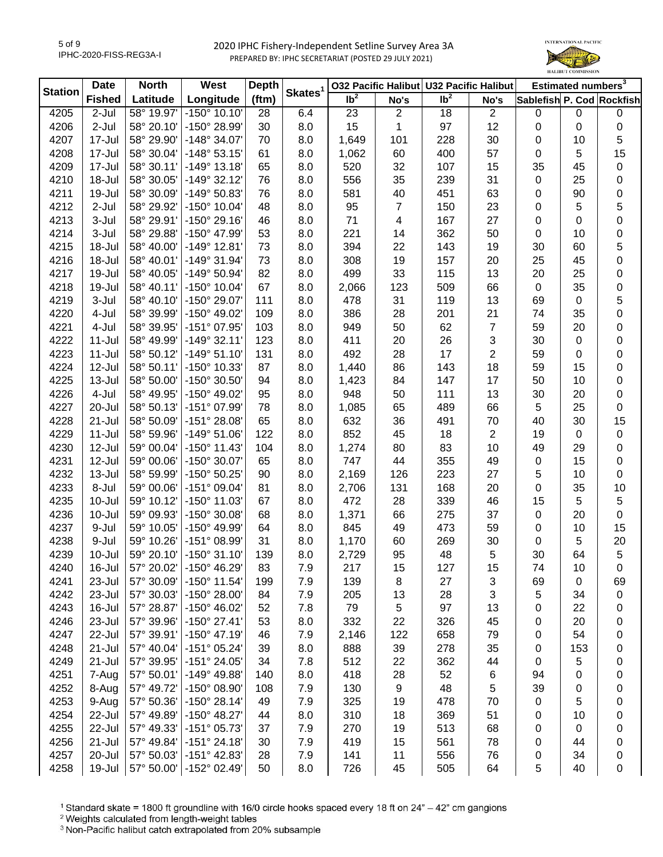

| <b>Station</b> | <b>Date</b>   | <b>North</b> | West                  | <b>Depth</b> | Skates <sup>1</sup> |                 |                | 032 Pacific Halibut U32 Pacific Halibut |                | Estimated numbers <sup>3</sup> |             |                           |
|----------------|---------------|--------------|-----------------------|--------------|---------------------|-----------------|----------------|-----------------------------------------|----------------|--------------------------------|-------------|---------------------------|
|                | <b>Fished</b> | Latitude     | Longitude             | (ftm)        |                     | Ib <sup>2</sup> | No's           | Ib <sup>2</sup>                         | No's           |                                |             | Sablefish P. Cod Rockfish |
| 4205           | 2-Jul         | 58° 19.97'   | $-150^{\circ}$ 10.10' | 28           | 6.4                 | 23              | $\overline{2}$ | 18                                      | $\overline{a}$ | $\mathbf 0$                    | $\pmb{0}$   | 0                         |
| 4206           | 2-Jul         | 58° 20.10'   | -150° 28.99'          | 30           | 8.0                 | 15              | 1              | 97                                      | 12             | $\pmb{0}$                      | $\mathbf 0$ | $\pmb{0}$                 |
| 4207           | 17-Jul        | 58° 29.90'   | $-148°34.07'$         | 70           | 8.0                 | 1,649           | 101            | 228                                     | 30             | 0                              | 10          | 5                         |
| 4208           | 17-Jul        | 58° 30.04'   | $-148°53.15'$         | 61           | 8.0                 | 1,062           | 60             | 400                                     | 57             | 0                              | 5           | 15                        |
| 4209           | 17-Jul        | 58° 30.11'   | $-149°$ 13.18'        | 65           | 8.0                 | 520             | 32             | 107                                     | 15             | 35                             | 45          | 0                         |
| 4210           | 18-Jul        | 58° 30.05'   | $-149°32.12'$         | 76           | 8.0                 | 556             | 35             | 239                                     | 31             | $\pmb{0}$                      | 25          | 0                         |
| 4211           | 19-Jul        | 58° 30.09'   | -149° 50.83'          | 76           | 8.0                 | 581             | 40             | 451                                     | 63             | 0                              | 90          | 0                         |
| 4212           | $2-Jul$       | 58° 29.92'   | $-150^{\circ}$ 10.04' | 48           | 8.0                 | 95              | 7              | 150                                     | 23             | 0                              | 5           | 5                         |
| 4213           | 3-Jul         | 58° 29.91'   | $-150^{\circ}$ 29.16  | 46           | 8.0                 | 71              | 4              | 167                                     | 27             | 0                              | $\pmb{0}$   | 0                         |
| 4214           | 3-Jul         | 58° 29.88'   | -150° 47.99'          | 53           | 8.0                 | 221             | 14             | 362                                     | 50             | 0                              | 10          | 0                         |
| 4215           | 18-Jul        | 58° 40.00'   | $-149°$ 12.81         | 73           | 8.0                 | 394             | 22             | 143                                     | 19             | 30                             | 60          | 5                         |
| 4216           | 18-Jul        | 58° 40.01'   | -149° 31.94'          | 73           | 8.0                 | 308             | 19             | 157                                     | 20             | 25                             | 45          | 0                         |
| 4217           | 19-Jul        | 58° 40.05'   | -149° 50.94'          | 82           | 8.0                 | 499             | 33             | 115                                     | 13             | 20                             | 25          | 0                         |
| 4218           | 19-Jul        | 58° 40.11'   | $-150^{\circ}$ 10.04' | 67           | 8.0                 | 2,066           | 123            | 509                                     | 66             | $\boldsymbol{0}$               | 35          | 0                         |
| 4219           | 3-Jul         | 58° 40.10'   | -150° 29.07'          | 111          | 8.0                 | 478             | 31             | 119                                     | 13             | 69                             | $\mathbf 0$ | 5                         |
| 4220           | 4-Jul         | 58° 39.99'   | -150° 49.02'          | 109          | 8.0                 | 386             | 28             | 201                                     | 21             | 74                             | 35          | $\mathbf 0$               |
| 4221           | 4-Jul         | 58° 39.95'   | -151° 07.95'          | 103          | 8.0                 | 949             | 50             | 62                                      | 7              | 59                             | 20          | 0                         |
| 4222           | 11-Jul        | 58° 49.99'   | $-149°32.11'$         | 123          | 8.0                 | 411             | 20             | 26                                      | 3              | 30                             | $\mathbf 0$ | 0                         |
| 4223           | $11$ -Jul     | 58° 50.12'   | $-149°51.10'$         | 131          | 8.0                 | 492             | 28             | 17                                      | 2              | 59                             | 0           | 0                         |
| 4224           | 12-Jul        | 58° 50.11'   | -150° 10.33'          | 87           | 8.0                 | 1,440           | 86             | 143                                     | 18             | 59                             | 15          | 0                         |
| 4225           | $13 -$ Jul    | 58° 50.00'   | -150° 30.50'          | 94           | 8.0                 | 1,423           | 84             | 147                                     | 17             | 50                             | 10          | 0                         |
| 4226           | 4-Jul         | 58° 49.95'   | -150° 49.02'          | 95           | 8.0                 | 948             | 50             | 111                                     | 13             | 30                             | 20          | 0                         |
| 4227           | 20-Jul        | 58° 50.13'   | -151° 07.99'          | 78           | 8.0                 | 1,085           | 65             | 489                                     | 66             | $\sqrt{5}$                     | 25          | 0                         |
| 4228           | $21 -$ Jul    | 58° 50.09'   | $-151^{\circ} 28.08'$ | 65           | 8.0                 | 632             | 36             | 491                                     | 70             | 40                             | 30          | 15                        |
|                |               |              | $-149°51.06'$         |              |                     | 852             |                |                                         |                |                                |             |                           |
| 4229           | $11 -$ Jul    | 58° 59.96'   | $-150^{\circ}$ 11.43' | 122          | 8.0                 |                 | 45             | 18                                      | 2              | 19                             | $\mathbf 0$ | 0                         |
| 4230           | 12-Jul        | 59° 00.04'   |                       | 104          | 8.0                 | 1,274           | 80             | 83                                      | 10             | 49                             | 29          | 0                         |
| 4231           | 12-Jul        | 59° 00.06'   | -150° 30.07'          | 65           | 8.0                 | 747             | 44             | 355                                     | 49             | $\pmb{0}$                      | 15          | 0                         |
| 4232           | 13-Jul        | 58° 59.99'   | -150° 50.25'          | 90           | 8.0                 | 2,169           | 126            | 223                                     | 27             | 5                              | 10          | 0                         |
| 4233           | 8-Jul         | 59° 00.06'   | $-151°09.04'$         | 81           | 8.0                 | 2,706           | 131            | 168                                     | 20             | 0                              | 35          | $10$                      |
| 4235           | 10-Jul        | 59° 10.12'   | -150° 11.03'          | 67           | 8.0                 | 472             | 28             | 339                                     | 46             | 15                             | 5           | 5                         |
| 4236           | 10-Jul        | 59° 09.93'   | -150° 30.08'          | 68           | 8.0                 | 1,371           | 66             | 275                                     | 37             | $\pmb{0}$                      | 20          | $\mathbf 0$               |
| 4237           | 9-Jul         | 59° 10.05'   | -150° 49.99'          | 64           | 8.0                 | 845             | 49             | 473                                     | 59             | 0                              | 10          | 15                        |
| 4238           | 9-Jul         | 59° 10.26'   | -151° 08.99'          | 31           | 8.0                 | 1,170           | 60             | 269                                     | 30             | $\mathbf 0$                    | 5           | $20\,$                    |
| 4239           | 10-Jul        | 59° 20.10'   | $-150°31.10'$         | 139          | 8.0                 | 2,729           | 95             | 48                                      | 5              | 30                             | 64          | $5\,$                     |
| 4240           | 16-Jul        | 57° 20.02'   | $-150^{\circ}$ 46.29  | 83           | 7.9                 | 217             | 15             | 127                                     | 15             | 74                             | 10          | 0                         |
| 4241           | 23-Jul        | 57° 30.09'   | $-150^{\circ}$ 11.54  | 199          | 7.9                 | 139             | 8              | 27                                      | 3              | 69                             | 0           | 69                        |
| 4242           | 23-Jul        | 57° 30.03'   | $-150^{\circ}$ 28.00  | 84           | 7.9                 | 205             | 13             | 28                                      | 3              | 5                              | 34          | 0                         |
| 4243           | 16-Jul        | 57° 28.87'   | -150° 46.02'          | 52           | 7.8                 | 79              | 5              | 97                                      | 13             | 0                              | 22          | 0                         |
| 4246           | 23-Jul        | 57° 39.96'   | $-150^{\circ}$ 27.41' | 53           | 8.0                 | 332             | 22             | 326                                     | 45             | 0                              | 20          | 0                         |
| 4247           | 22-Jul        | 57° 39.91'   | $-150^{\circ}$ 47.19  | 46           | 7.9                 | 2,146           | 122            | 658                                     | 79             | 0                              | 54          | 0                         |
| 4248           | 21-Jul        | 57° 40.04'   | -151° 05.24'          | 39           | 8.0                 | 888             | 39             | 278                                     | 35             | 0                              | 153         | 0                         |
| 4249           | 21-Jul        | 57° 39.95'   | -151° 24.05'          | 34           | 7.8                 | 512             | 22             | 362                                     | 44             | 0                              | 5           | 0                         |
| 4251           | 7-Aug         | 57° 50.01'   | -149° 49.88'          | 140          | 8.0                 | 418             | 28             | 52                                      | 6              | 94                             | 0           | 0                         |
| 4252           | 8-Aug         | 57° 49.72'   | -150° 08.90'          | 108          | 7.9                 | 130             | 9              | 48                                      | 5              | 39                             | 0           | 0                         |
| 4253           | 9-Aug         | 57° 50.36'   | $-150^{\circ}$ 28.14' | 49           | 7.9                 | 325             | 19             | 478                                     | 70             | 0                              | 5           | 0                         |
| 4254           | 22-Jul        | 57° 49.89'   | -150° 48.27'          | 44           | 8.0                 | 310             | 18             | 369                                     | 51             | 0                              | 10          | 0                         |
| 4255           | 22-Jul        | 57° 49.33'   | -151° 05.73'          | 37           | 7.9                 | 270             | 19             | 513                                     | 68             | 0                              | 0           | 0                         |
| 4256           | 21-Jul        | 57° 49.84'   | $-151°$ 24.18         | 30           | 7.9                 | 419             | 15             | 561                                     | 78             | 0                              | 44          | 0                         |
| 4257           | 20-Jul        | 57° 50.03'   | $-151^{\circ}$ 42.83' | 28           | 7.9                 | 141             | 11             | 556                                     | 76             | 0                              | 34          | 0                         |
| 4258           | 19-Jul        | 57° 50.00'   | $-152^{\circ}$ 02.49  | 50           | 8.0                 | 726             | 45             | 505                                     | 64             | 5                              | 40          | 0                         |

<sup>1</sup> Standard skate = 1800 ft groundline with 16/0 circle hooks spaced every 18 ft on 24" - 42" cm gangions

<sup>2</sup> Weights calculated from length-weight tables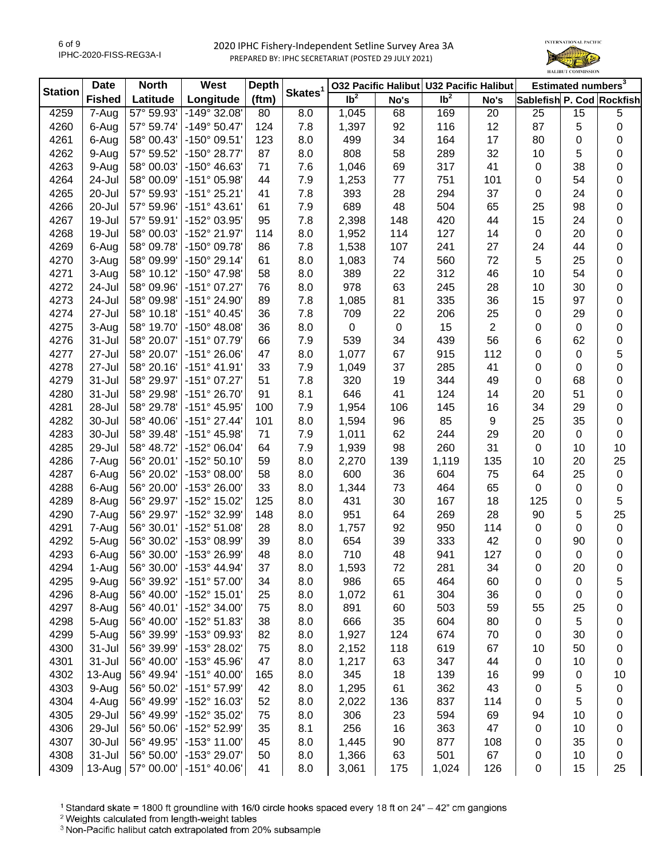

| <b>Station</b> | <b>Date</b>   | <b>North</b> | West                  | <b>Depth</b><br>Skates <sup>1</sup> |     | 032 Pacific Halibut U32 Pacific Halibut |           |                 |                         | Estimated numbers <sup>3</sup> |             |                           |
|----------------|---------------|--------------|-----------------------|-------------------------------------|-----|-----------------------------------------|-----------|-----------------|-------------------------|--------------------------------|-------------|---------------------------|
|                | <b>Fished</b> | Latitude     | Longitude             | (ftm)                               |     | Ib <sup>2</sup>                         | No's      | Ib <sup>2</sup> | No's                    |                                |             | Sablefish P. Cod Rockfish |
| 4259           | 7-Aug         | 57° 59.93'   | -149° 32.08'          | 80                                  | 8.0 | 1,045                                   | 68        | 169             | 20                      | 25                             | 15          | $\,$ 5 $\,$               |
| 4260           | 6-Aug         | 57° 59.74'   | $-149°$ 50.47         | 124                                 | 7.8 | 1,397                                   | 92        | 116             | 12                      | 87                             | 5           | 0                         |
| 4261           | 6-Aug         | 58° 00.43'   | -150° 09.51'          | 123                                 | 8.0 | 499                                     | 34        | 164             | 17                      | 80                             | 0           | 0                         |
| 4262           | 9-Aug         | 57° 59.52'   | -150° 28.77'          | 87                                  | 8.0 | 808                                     | 58        | 289             | 32                      | 10                             | 5           | 0                         |
| 4263           | 9-Aug         | 58° 00.03'   | -150° 46.63'          | 71                                  | 7.6 | 1,046                                   | 69        | 317             | 41                      | $\mathbf 0$                    | 38          | 0                         |
| 4264           | 24-Jul        | 58° 00.09'   | -151° 05.98'          | 44                                  | 7.9 | 1,253                                   | $77$      | 751             | 101                     | 0                              | 54          | 0                         |
| 4265           | 20-Jul        | 57° 59.93'   | $-151°$ 25.21'        | 41                                  | 7.8 | 393                                     | 28        | 294             | 37                      | 0                              | 24          | 0                         |
| 4266           | 20-Jul        | 57° 59.96'   | $-151°$ 43.61         | 61                                  | 7.9 | 689                                     | 48        | 504             | 65                      | 25                             | 98          | 0                         |
| 4267           | 19-Jul        | 57° 59.91'   | -152° 03.95'          | 95                                  | 7.8 | 2,398                                   | 148       | 420             | 44                      | 15                             | 24          | 0                         |
| 4268           | 19-Jul        | 58° 00.03'   | -152° 21.97'          | 114                                 | 8.0 | 1,952                                   | 114       | 127             | 14                      | $\boldsymbol{0}$               | 20          | 0                         |
| 4269           | 6-Aug         | 58° 09.78'   | -150° 09.78'          | 86                                  | 7.8 | 1,538                                   | 107       | 241             | 27                      | 24                             | 44          | 0                         |
| 4270           | 3-Aug         | 58° 09.99'   | $-150^{\circ}$ 29.14  | 61                                  | 8.0 | 1,083                                   | 74        | 560             | 72                      | 5                              | 25          | 0                         |
| 4271           | 3-Aug         | 58° 10.12'   | -150° 47.98'          | 58                                  | 8.0 | 389                                     | 22        | 312             | 46                      | 10                             | 54          | 0                         |
| 4272           | 24-Jul        | 58° 09.96'   | $-151°07.27'$         | 76                                  | 8.0 | 978                                     | 63        | 245             | 28                      | 10                             | 30          | 0                         |
| 4273           | 24-Jul        | 58° 09.98'   | -151° 24.90'          | 89                                  | 7.8 | 1,085                                   | 81        | 335             | 36                      | 15                             | 97          | 0                         |
| 4274           | 27-Jul        | 58° 10.18'   | $-151^{\circ}$ 40.45  | 36                                  | 7.8 | 709                                     | 22        | 206             | 25                      | $\pmb{0}$                      | 29          | 0                         |
| 4275           | 3-Aug         | 58° 19.70'   | $-150^{\circ}$ 48.08  | 36                                  | 8.0 | 0                                       | $\pmb{0}$ | 15              | $\overline{\mathbf{c}}$ | $\mathbf 0$                    | $\mathbf 0$ | 0                         |
| 4276           | 31-Jul        | 58° 20.07'   | -151° 07.79'          | 66                                  | 7.9 | 539                                     | 34        | 439             | 56                      | 6                              | 62          | 0                         |
| 4277           | 27-Jul        | 58° 20.07'   | $-151^{\circ} 26.06'$ | 47                                  | 8.0 | 1,077                                   | 67        | 915             | 112                     | 0                              | 0           | 5                         |
| 4278           | 27-Jul        | 58° 20.16'   | $-151^{\circ}$ 41.91' | 33                                  | 7.9 | 1,049                                   | 37        | 285             | 41                      | 0                              | 0           | 0                         |
| 4279           | 31-Jul        | 58° 29.97'   | -151° 07.27'          | 51                                  | 7.8 | 320                                     | 19        | 344             | 49                      | $\mathbf 0$                    | 68          | 0                         |
| 4280           | 31-Jul        | 58° 29.98'   | -151° 26.70'          | 91                                  | 8.1 | 646                                     | 41        | 124             | 14                      | 20                             | 51          | 0                         |
| 4281           | 28-Jul        | 58° 29.78'   | $-151^{\circ}$ 45.95' | 100                                 | 7.9 | 1,954                                   | 106       | 145             | 16                      | 34                             | 29          | 0                         |
| 4282           | 30-Jul        | 58° 40.06'   | $-151^{\circ}$ 27.44' | 101                                 | 8.0 | 1,594                                   | 96        | 85              | 9                       | 25                             | 35          | 0                         |
| 4283           | 30-Jul        | 58° 39.48'   | -151° 45.98'          | 71                                  | 7.9 | 1,011                                   | 62        | 244             | 29                      | 20                             | 0           | 0                         |
| 4285           | 29-Jul        | 58° 48.72'   | -152° 06.04'          | 64                                  | 7.9 | 1,939                                   | 98        | 260             | 31                      | $\boldsymbol{0}$               | 10          | 10                        |
| 4286           | 7-Aug         | 56° 20.01'   | -152° 50.10'          | 59                                  | 8.0 | 2,270                                   | 139       | 1,119           | 135                     | 10                             | 20          | 25                        |
| 4287           | 6-Aug         | 56° 20.02'   | -153° 08.00'          | 58                                  | 8.0 | 600                                     | 36        | 604             | 75                      | 64                             | 25          | $\pmb{0}$                 |
| 4288           | 6-Aug         | 56° 20.00'   | $-153^{\circ}$ 26.00  | 33                                  | 8.0 | 1,344                                   | 73        | 464             | 65                      | $\mathbf 0$                    | $\pmb{0}$   | $\pmb{0}$                 |
| 4289           | 8-Aug         | 56° 29.97'   | -152° 15.02'          | 125                                 | 8.0 | 431                                     | 30        | 167             | 18                      | 125                            | $\mathbf 0$ | 5                         |
| 4290           | 7-Aug         | 56° 29.97'   | -152° 32.99'          | 148                                 | 8.0 | 951                                     | 64        | 269             | 28                      | 90                             | 5           | 25                        |
| 4291           | 7-Aug         | 56° 30.01'   | -152° 51.08'          | 28                                  | 8.0 | 1,757                                   | 92        | 950             | 114                     | 0                              | 0           | $\mathbf 0$               |
| 4292           | 5-Aug         | 56° 30.02'   | -153° 08.99'          | 39                                  | 8.0 | 654                                     | 39        | 333             | 42                      | $\mathbf 0$                    | 90          | 0                         |
| 4293           | 6-Aug         | 56° 30.00'   | -153° 26.99'          | 48                                  | 8.0 | 710                                     | 48        | 941             | 127                     | $\mathbf 0$                    | 0           | $\pmb{0}$                 |
| 4294           | 1-Aug         | 56° 30.00    | $-153^{\circ}$ 44.94  | 37                                  | 8.0 | 1,593                                   | 72        | 281             | 34                      | 0                              | 20          | 0                         |
| 4295           | 9-Aug         | 56° 39.92'   | $-151°57.00'$         | 34                                  | 8.0 | 986                                     | 65        | 464             | 60                      | 0                              | 0           | 5                         |
| 4296           | 8-Aug         | 56° 40.00'   | -152° 15.01'          | 25                                  | 8.0 | 1,072                                   | 61        | 304             | 36                      | 0                              | 0           | 0                         |
| 4297           | 8-Aug         | 56° 40.01'   | -152° 34.00'          | 75                                  | 8.0 | 891                                     | 60        | 503             | 59                      | 55                             | 25          | 0                         |
| 4298           | 5-Aug         | 56° 40.00'   | -152° 51.83'          | 38                                  | 8.0 | 666                                     | 35        | 604             | 80                      | 0                              | 5           | 0                         |
| 4299           | 5-Aug         | 56° 39.99'   | -153° 09.93'          | 82                                  | 8.0 | 1,927                                   | 124       | 674             | 70                      | 0                              | 30          | 0                         |
| 4300           | 31-Jul        | 56° 39.99'   | -153° 28.02'          | 75                                  | 8.0 | 2,152                                   | 118       | 619             | 67                      | 10                             | 50          | 0                         |
| 4301           | 31-Jul        | 56° 40.00'   | -153° 45.96'          | 47                                  | 8.0 | 1,217                                   | 63        | 347             | 44                      | 0                              | 10          | 0                         |
| 4302           | 13-Aug        | 56° 49.94'   | $-151^{\circ}$ 40.00  | 165                                 | 8.0 | 345                                     | 18        | 139             | 16                      | 99                             | 0           | 10                        |
| 4303           | 9-Aug         | 56° 50.02'   | -151° 57.99'          | 42                                  | 8.0 | 1,295                                   | 61        | 362             | 43                      | 0                              | 5           | 0                         |
| 4304           | 4-Aug         | 56° 49.99'   | -152° 16.03'          | 52                                  | 8.0 | 2,022                                   | 136       | 837             | 114                     | 0                              | 5           | 0                         |
| 4305           | 29-Jul        | 56° 49.99'   | -152° 35.02'          | 75                                  | 8.0 | 306                                     | 23        | 594             | 69                      | 94                             | 10          | 0                         |
| 4306           | 29-Jul        | 56° 50.06'   | -152° 52.99'          | 35                                  | 8.1 | 256                                     | 16        | 363             | 47                      | 0                              | 10          | 0                         |
| 4307           | 30-Jul        | 56° 49.95'   | $-153^{\circ}$ 11.00  | 45                                  | 8.0 | 1,445                                   | 90        | 877             | 108                     | 0                              | 35          | 0                         |
| 4308           | 31-Jul        | 56° 50.00'   | -153° 29.07'          | 50                                  | 8.0 | 1,366                                   | 63        | 501             | 67                      | 0                              | 10          | 0                         |
| 4309           | $13$ -Aug     | 57° 00.00'   | $-151^{\circ}$ 40.06' | 41                                  | 8.0 | 3,061                                   | 175       | 1,024           | 126                     | 0                              | 15          | 25                        |

<sup>1</sup> Standard skate = 1800 ft groundline with 16/0 circle hooks spaced every 18 ft on 24" - 42" cm gangions

<sup>2</sup> Weights calculated from length-weight tables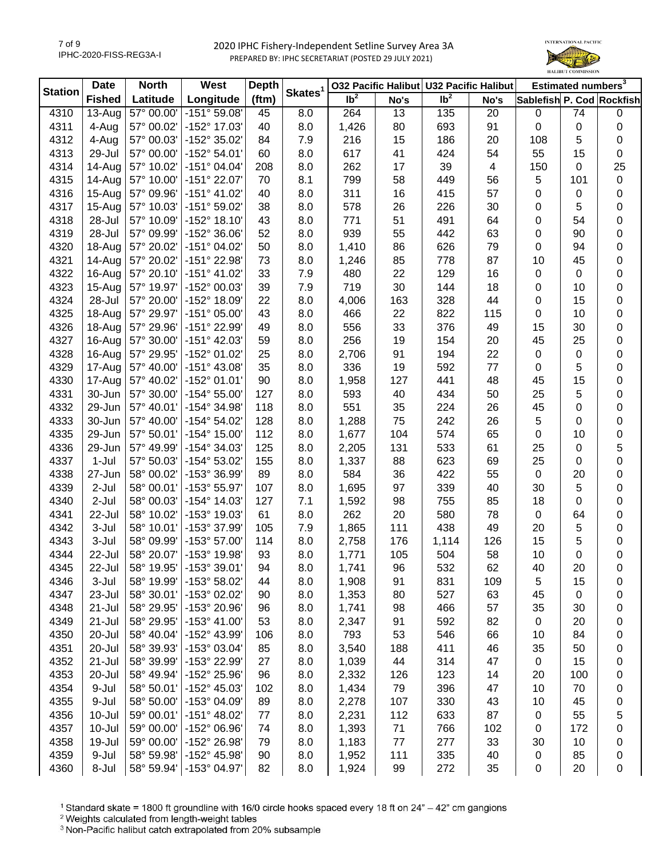

| <b>Station</b> | <b>Date</b>   | <b>North</b>             | West                  | <b>Depth</b> | Skates <sup>1</sup> | 032 Pacific Halibut U32 Pacific Halibut |      |                   |      | Estimated numbers <sup>3</sup> |                |           |
|----------------|---------------|--------------------------|-----------------------|--------------|---------------------|-----------------------------------------|------|-------------------|------|--------------------------------|----------------|-----------|
|                | <b>Fished</b> | Latitude                 | Longitude             | (ftm)        |                     | Ib <sup>2</sup>                         | No's | $\overline{1}b^2$ | No's | Sablefish P. Cod Rockfish      |                |           |
| 4310           | $13-Auq$      | 57° 00.00'               | -151° 59.08'          | 45           | 8.0                 | 264                                     | 13   | 135               | 20   | $\pmb{0}$                      | 74             | $\pmb{0}$ |
| 4311           | 4-Aug         | 57° 00.02'               | -152° 17.03'          | 40           | 8.0                 | 1,426                                   | 80   | 693               | 91   | $\pmb{0}$                      | 0              | 0         |
| 4312           | 4-Aug         | 57° 00.03'               | -152° 35.02'          | 84           | 7.9                 | 216                                     | 15   | 186               | 20   | 108                            | 5              | 0         |
| 4313           | 29-Jul        | 57° 00.00'               | $-152^{\circ} 54.01'$ | 60           | 8.0                 | 617                                     | 41   | 424               | 54   | 55                             | 15             | 0         |
| 4314           | 14-Aug        | 57° 10.02'               | -151° 04.04'          | 208          | 8.0                 | 262                                     | 17   | 39                | 4    | 150                            | 0              | 25        |
| 4315           | 14-Aug        | 57° 10.00'               | -151° 22.07'          | 70           | 8.1                 | 799                                     | 58   | 449               | 56   | $\sqrt{5}$                     | 101            | 0         |
| 4316           | 15-Aug        | 57° 09.96'               | $-151^{\circ}$ 41.02  | 40           | 8.0                 | 311                                     | 16   | 415               | 57   | 0                              | 0              | 0         |
| 4317           | 15-Aug        | 57° 10.03'               | -151° 59.02'          | 38           | 8.0                 | 578                                     | 26   | 226               | 30   | 0                              | 5              | 0         |
| 4318           | 28-Jul        | 57° 10.09'               | $-152^{\circ}$ 18.10' | 43           | 8.0                 | 771                                     | 51   | 491               | 64   | 0                              | 54             | 0         |
| 4319           | 28-Jul        | 57° 09.99'               | -152° 36.06'          | 52           | 8.0                 | 939                                     | 55   | 442               | 63   | 0                              | 90             | 0         |
| 4320           | 18-Aug        | 57° 20.02'               | -151° 04.02'          | 50           | 8.0                 | 1,410                                   | 86   | 626               | 79   | 0                              | 94             | 0         |
| 4321           | 14-Aug        | 57° 20.02'               | -151° 22.98'          | 73           | 8.0                 | 1,246                                   | 85   | 778               | 87   | 10                             | 45             | 0         |
| 4322           | 16-Aug        | 57° 20.10'               | $-151^{\circ}$ 41.02  | 33           | 7.9                 | 480                                     | 22   | 129               | 16   | $\pmb{0}$                      | $\pmb{0}$      | 0         |
| 4323           | 15-Aug        | 57° 19.97'               | -152° 00.03'          | 39           | 7.9                 | 719                                     | 30   | 144               | 18   | $\pmb{0}$                      | 10             | 0         |
| 4324           | 28-Jul        | 57° 20.00'               | -152° 18.09'          | 22           | 8.0                 | 4,006                                   | 163  | 328               | 44   | $\pmb{0}$                      | 15             | 0         |
| 4325           | 18-Aug        | 57° 29.97'               | $-151°05.00'$         | 43           | 8.0                 | 466                                     | 22   | 822               | 115  | 0                              | 10             | 0         |
| 4326           | 18-Aug        | 57° 29.96'               | -151° 22.99'          | 49           | 8.0                 | 556                                     | 33   | 376               | 49   | 15                             | 30             | 0         |
| 4327           | 16-Aug        | 57° 30.00'               | -151° 42.03'          | 59           | 8.0                 | 256                                     | 19   | 154               | 20   | 45                             | 25             | 0         |
| 4328           | 16-Aug        | 57° 29.95'               | -152° 01.02'          | 25           | 8.0                 | 2,706                                   | 91   | 194               | 22   | $\pmb{0}$                      | $\mathbf 0$    | 0         |
| 4329           | 17-Aug        | 57° 40.00'               | $-151^{\circ}$ 43.08' | 35           | 8.0                 | 336                                     | 19   | 592               | 77   | 0                              | 5              | 0         |
| 4330           | 17-Aug        | 57° 40.02'               | -152° 01.01'          | 90           | 8.0                 | 1,958                                   | 127  | 441               | 48   | 45                             | 15             | 0         |
| 4331           | 30-Jun        | 57° 30.00'               | $-154^{\circ} 55.00'$ | 127          | 8.0                 | 593                                     | 40   | 434               | 50   | 25                             | 5              | 0         |
| 4332           | 29-Jun        | 57° 40.01'               | -154° 34.98'          | 118          | 8.0                 | 551                                     | 35   | 224               | 26   | 45                             | 0              | 0         |
| 4333           | 30-Jun        | 57° 40.00'               | -154° 54.02'          | 128          | 8.0                 | 1,288                                   | 75   | 242               | 26   | 5                              | 0              | 0         |
| 4335           | 29-Jun        | 57° 50.01'               | $-154^{\circ}$ 15.00' | 112          | 8.0                 | 1,677                                   | 104  | 574               | 65   | 0                              | 10             | 0         |
| 4336           | 29-Jun        | 57° 49.99'               | -154° 34.03'          | 125          | 8.0                 | 2,205                                   | 131  | 533               | 61   | 25                             | 0              | 5         |
| 4337           | $1-Jul$       | 57° 50.03'               | -154° 53.02'          | 155          | 8.0                 | 1,337                                   | 88   | 623               | 69   | 25                             | 0              | 0         |
| 4338           | 27-Jun        | 58° 00.02'               | -153° 36.99'          | 89           | 8.0                 | 584                                     | 36   | 422               | 55   | $\pmb{0}$                      | 20             | 0         |
| 4339           | $2-Jul$       | 58° 00.01'               | -153° 55.97'          | 107          | 8.0                 | 1,695                                   | 97   | 339               | 40   | 30                             | $\overline{5}$ | 0         |
| 4340           | $2-Jul$       | 58° 00.03'               | $-154^{\circ}$ 14.03' | 127          | 7.1                 |                                         | 98   | 755               | 85   | 18                             | $\mathbf 0$    | 0         |
| 4341           | 22-Jul        | 58° 10.02'               | -153° 19.03'          | 61           | 8.0                 | 1,592<br>262                            | 20   | 580               | 78   | $\mathsf 0$                    | 64             | 0         |
| 4342           | 3-Jul         | 58° 10.01'               | -153° 37.99'          | 105          | 7.9                 |                                         | 111  | 438               | 49   | 20                             | 5              | 0         |
|                | 3-Jul         | 58° 09.99'               | -153° 57.00'          | 114          |                     | 1,865                                   |      |                   |      |                                | 5              |           |
| 4343<br>4344   | 22-Jul        |                          | -153° 19.98'          | 93           | 8.0                 | 2,758                                   | 176  | 1,114<br>504      | 126  | 15                             |                | 0<br>0    |
|                |               | 58° 20.07'               |                       |              | 8.0                 | 1,771                                   | 105  |                   | 58   | 10                             | 0              |           |
| 4345           | 22-Jul        | 58° 19.95'<br>58° 19.99' | $-153°39.01$          | 94           | 8.0                 | 1,741                                   | 96   | 532               | 62   | 40                             | 20             | 0         |
| 4346           | 3-Jul         |                          | -153° 58.02'          | 44           | 8.0                 | 1,908                                   | 91   | 831               | 109  | 5                              | 15             | 0         |
| 4347           | 23-Jul        | 58° 30.01'               | -153° 02.02'          | 90           | 8.0                 | 1,353                                   | 80   | 527               | 63   | 45                             | 0              | 0         |
| 4348           | 21-Jul        | 58° 29.95'               | -153° 20.96'          | 96           | 8.0                 | 1,741                                   | 98   | 466               | 57   | 35                             | 30             | 0         |
| 4349           | 21-Jul        | 58° 29.95'               | $-153^{\circ}$ 41.00' | 53           | 8.0                 | 2,347                                   | 91   | 592               | 82   | 0                              | 20             | 0         |
| 4350           | 20-Jul        | 58° 40.04'               | -152° 43.99'          | 106          | 8.0                 | 793                                     | 53   | 546               | 66   | 10                             | 84             | 0         |
| 4351           | 20-Jul        | 58° 39.93'               | -153° 03.04'          | 85           | 8.0                 | 3,540                                   | 188  | 411               | 46   | 35                             | 50             | 0         |
| 4352           | 21-Jul        | 58° 39.99'               | -153° 22.99'          | 27           | 8.0                 | 1,039                                   | 44   | 314               | 47   | $\pmb{0}$                      | 15             | 0         |
| 4353           | 20-Jul        | 58° 49.94'               | -152° 25.96'          | 96           | 8.0                 | 2,332                                   | 126  | 123               | 14   | 20                             | 100            | 0         |
| 4354           | 9-Jul         | 58° 50.01'               | -152° 45.03'          | 102          | 8.0                 | 1,434                                   | 79   | 396               | 47   | 10                             | 70             | 0         |
| 4355           | 9-Jul         | 58° 50.00'               | -153° 04.09'          | 89           | 8.0                 | 2,278                                   | 107  | 330               | 43   | 10                             | 45             | 0         |
| 4356           | 10-Jul        | 59° 00.01'               | -151° 48.02'          | 77           | 8.0                 | 2,231                                   | 112  | 633               | 87   | $\pmb{0}$                      | 55             | 5         |
| 4357           | 10-Jul        | 59° 00.00'               | -152° 06.96'          | 74           | 8.0                 | 1,393                                   | 71   | 766               | 102  | 0                              | 172            | 0         |
| 4358           | 19-Jul        | 59° 00.00'               | -152° 26.98'          | 79           | 8.0                 | 1,183                                   | 77   | 277               | 33   | 30                             | 10             | 0         |
| 4359           | 9-Jul         | 58° 59.98'               | -152° 45.98'          | 90           | 8.0                 | 1,952                                   | 111  | 335               | 40   | $\pmb{0}$                      | 85             | 0         |
| 4360           | 8-Jul         | 58° 59.94'               | -153° 04.97'          | 82           | 8.0                 | 1,924                                   | 99   | 272               | 35   | 0                              | 20             | 0         |

<sup>1</sup> Standard skate = 1800 ft groundline with 16/0 circle hooks spaced every 18 ft on 24" - 42" cm gangions

2 Weights calculated from length-weight tables<br>
<sup>2</sup> Weights calculated from length-weight tables<br>
<sup>3</sup> Non-Pacific halibut catch extrapolated from 20% subsample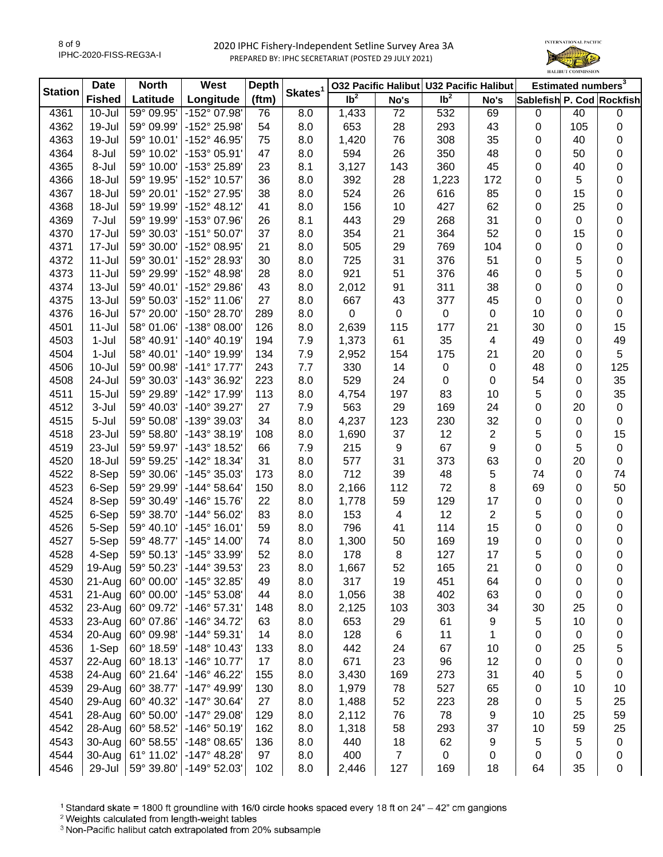

| <b>Station</b> | <b>Date</b>   | <b>North</b> | West                  | <b>Depth</b> | Skates <sup>1</sup> | 032 Pacific Halibut U32 Pacific Halibut |                  |                            |                  |             | Estimated numbers <sup>3</sup> |                           |
|----------------|---------------|--------------|-----------------------|--------------|---------------------|-----------------------------------------|------------------|----------------------------|------------------|-------------|--------------------------------|---------------------------|
|                | <b>Fished</b> | Latitude     | Longitude             | (ftm)        |                     | $\overline{1}b^2$                       | No's             | $\overline{\mathsf{lb}^2}$ | No's             |             |                                | Sablefish P. Cod Rockfish |
| 4361           | $10 -$ Jul    | 59° 09.95'   | -152° 07.98'          | 76           | 8.0                 | 1,433                                   | 72               | 532                        | 69               | $\mathbf 0$ | 40                             | $\pmb{0}$                 |
| 4362           | 19-Jul        | 59° 09.99'   | -152° 25.98'          | 54           | 8.0                 | 653                                     | 28               | 293                        | 43               | $\mathbf 0$ | 105                            | 0                         |
| 4363           | 19-Jul        | 59° 10.01'   | -152° 46.95'          | 75           | 8.0                 | 1,420                                   | 76               | 308                        | 35               | 0           | 40                             | 0                         |
| 4364           | 8-Jul         | 59° 10.02'   | -153° 05.91'          | 47           | 8.0                 | 594                                     | 26               | 350                        | 48               | 0           | 50                             | 0                         |
| 4365           | 8-Jul         | 59° 10.00'   | -153° 25.89'          | 23           | 8.1                 | 3,127                                   | 143              | 360                        | 45               | 0           | 40                             | 0                         |
| 4366           | 18-Jul        | 59° 19.95'   | -152° 10.57'          | 36           | 8.0                 | 392                                     | 28               | 1,223                      | 172              | 0           | 5                              | 0                         |
| 4367           | 18-Jul        | 59° 20.01'   | -152° 27.95'          | 38           | 8.0                 | 524                                     | 26               | 616                        | 85               | 0           | 15                             | 0                         |
| 4368           | 18-Jul        | 59° 19.99'   | $-152^{\circ}$ 48.12' | 41           | 8.0                 | 156                                     | 10               | 427                        | 62               | 0           | 25                             | 0                         |
| 4369           | 7-Jul         | 59° 19.99'   | -153° 07.96'          | 26           | 8.1                 | 443                                     | 29               | 268                        | 31               | 0           | 0                              | 0                         |
| 4370           | 17-Jul        | 59° 30.03'   | $-151°50.07'$         | 37           | 8.0                 | 354                                     | 21               | 364                        | 52               | 0           | 15                             | 0                         |
| 4371           | 17-Jul        | 59° 30.00'   | -152° 08.95'          | 21           | 8.0                 | 505                                     | 29               | 769                        | 104              | 0           | 0                              | 0                         |
| 4372           | 11-Jul        | 59° 30.01'   | -152° 28.93'          | 30           | 8.0                 | 725                                     | 31               | 376                        | 51               | 0           | 5                              | 0                         |
| 4373           | 11-Jul        | 59° 29.99'   | -152° 48.98'          | 28           | 8.0                 | 921                                     | 51               | 376                        | 46               | 0           | 5                              | 0                         |
| 4374           | 13-Jul        | 59° 40.01'   | -152° 29.86'          | 43           | 8.0                 | 2,012                                   | 91               | 311                        | 38               | 0           | 0                              | 0                         |
| 4375           | 13-Jul        | 59° 50.03'   | $-152^{\circ}$ 11.06' | 27           | 8.0                 | 667                                     | 43               | 377                        | 45               | 0           | 0                              | 0                         |
| 4376           | 16-Jul        | 57° 20.00'   | -150° 28.70'          | 289          | 8.0                 | 0                                       | 0                | 0                          | $\pmb{0}$        | 10          | 0                              | 0                         |
| 4501           | $11 -$ Jul    | 58° 01.06'   | $-138°08.00$          | 126          | 8.0                 | 2,639                                   | 115              | 177                        | 21               | 30          | 0                              | 15                        |
| 4503           | $1-Jul$       | 58° 40.91'   | $-140^{\circ}$ 40.19  | 194          | 7.9                 | 1,373                                   | 61               | 35                         | 4                | 49          | 0                              | 49                        |
| 4504           | 1-Jul         | 58° 40.01'   | -140° 19.99'          | 134          | 7.9                 | 2,952                                   | 154              | 175                        | 21               | 20          | 0                              | 5                         |
| 4506           | $10 -$ Jul    | 59° 00.98'   | $-141°$ 17.77         | 243          | 7.7                 | 330                                     | 14               | 0                          | 0                | 48          | 0                              | 125                       |
| 4508           | 24-Jul        | 59° 30.03'   | -143° 36.92'          | 223          | 8.0                 | 529                                     | 24               | 0                          | 0                | 54          | 0                              | 35                        |
| 4511           | $15 -$ Jul    | 59° 29.89'   | -142° 17.99'          | 113          | 8.0                 | 4,754                                   | 197              | 83                         | 10               | 5           | 0                              | 35                        |
| 4512           | 3-Jul         | 59° 40.03'   | -140° 39.27'          | 27           | 7.9                 | 563                                     | 29               | 169                        | 24               | 0           | 20                             | 0                         |
| 4515           | 5-Jul         | 59° 50.08'   | -139° 39.03'          | 34           | 8.0                 | 4,237                                   | 123              | 230                        | 32               |             | $\mathbf 0$                    | 0                         |
|                |               |              | $-143°38.19'$         |              |                     |                                         |                  |                            |                  | 0           |                                |                           |
| 4518           | 23-Jul        | 59° 58.80'   |                       | 108          | 8.0                 | 1,690                                   | 37               | 12<br>67                   | 2                | 5           | 0                              | 15                        |
| 4519           | 23-Jul        | 59° 59.97'   | -143° 18.52'          | 66           | 7.9                 | 215                                     | $\boldsymbol{9}$ |                            | 9                | 0           | 5                              | 0                         |
| 4520           | 18-Jul        | 59° 59.25'   | -142° 18.34'          | 31           | 8.0                 | 577                                     | 31               | 373                        | 63               | 0           | 20                             | 0                         |
| 4522           | 8-Sep         | 59° 30.06'   | -145° 35.03'          | 173          | 8.0                 | 712                                     | 39               | 48                         | 5                | 74          | 0                              | 74                        |
| 4523           | 6-Sep         | 59° 29.99'   | $-144^{\circ} 58.64'$ | 150          | 8.0                 | 2,166                                   | 112              | 72                         | 8                | 69          | 0                              | 50                        |
| 4524           | 8-Sep         | 59° 30.49'   | -146° 15.76'          | 22           | 8.0                 | 1,778                                   | 59               | 129                        | 17               | $\pmb{0}$   | 0                              | 0                         |
| 4525           | 6-Sep         | 59° 38.70'   | $-144^{\circ} 56.02'$ | 83           | 8.0                 | 153                                     | 4                | 12                         | $\boldsymbol{2}$ | 5           | 0                              | 0                         |
| 4526           | 5-Sep         | 59° 40.10'   | $-145°$ 16.01'        | 59           | 8.0                 | 796                                     | 41               | 114                        | 15               | 0           | 0                              | 0                         |
| 4527           | 5-Sep         | 59° 48.77'   | $-145^{\circ}$ 14.00  | 74           | 8.0                 | 1,300                                   | 50               | 169                        | 19               | 0           | 0                              | 0                         |
| 4528           | 4-Sep         | 59° 50.13'   | -145° 33.99'          | 52           | 8.0                 | 178                                     | 8                | 127                        | 17               | 5           | 0                              | 0                         |
| 4529           | 19-Aug        | 59° 50.23'   | $-144^{\circ}$ 39.53  | 23           | 8.0                 | 1,667                                   | 52               | 165                        | 21               | 0           | 0                              | 0                         |
| 4530           | 21-Aug        | 60° 00.00'   | $-145^{\circ}$ 32.85  | 49           | 8.0                 | 317                                     | 19               | 451                        | 64               | 0           | 0                              | 0                         |
| 4531           | $21-Aug$      | 60° 00.00'   | $-145^{\circ} 53.08'$ | 44           | 8.0                 | 1,056                                   | 38               | 402                        | 63               | 0           | 0                              | 0                         |
| 4532           | 23-Aug        | 60° 09.72'   | $-146°57.31'$         | 148          | 8.0                 | 2,125                                   | 103              | 303                        | 34               | 30          | 25                             | 0                         |
| 4533           | 23-Aug        | 60° 07.86'   | -146° 34.72'          | 63           | 8.0                 | 653                                     | 29               | 61                         | 9                | 5           | 10                             | 0                         |
| 4534           | 20-Aug        | 60° 09.98'   | -144° 59.31'          | 14           | 8.0                 | 128                                     | 6                | 11                         | 1                | 0           | 0                              | 0                         |
| 4536           | 1-Sep         | 60° 18.59'   | $-148°$ 10.43         | 133          | 8.0                 | 442                                     | 24               | 67                         | 10               | 0           | 25                             | 5                         |
| 4537           | 22-Aug        | 60° 18.13'   | -146° 10.77'          | 17           | 8.0                 | 671                                     | 23               | 96                         | 12               | 0           | 0                              | 0                         |
| 4538           | 24-Aug        | 60° 21.64'   | -146° 46.22'          | 155          | 8.0                 | 3,430                                   | 169              | 273                        | 31               | 40          | 5                              | 0                         |
| 4539           | 29-Aug        | 60° 38.77'   | -147° 49.99'          | 130          | 8.0                 | 1,979                                   | 78               | 527                        | 65               | 0           | 10                             | 10                        |
| 4540           | 29-Aug        | 60° 40.32'   | $-147°30.64'$         | 27           | 8.0                 | 1,488                                   | 52               | 223                        | 28               | 0           | 5                              | 25                        |
| 4541           | 28-Aug        | 60° 50.00'   | -147° 29.08'          | 129          | 8.0                 | 2,112                                   | 76               | 78                         | 9                | 10          | 25                             | 59                        |
| 4542           | 28-Aug        | 60° 58.52'   | $-146°50.19'$         | 162          | 8.0                 | 1,318                                   | 58               | 293                        | 37               | 10          | 59                             | 25                        |
| 4543           | 30-Aug        | 60° 58.55'   | -148° 08.65'          | 136          | 8.0                 | 440                                     | 18               | 62                         | 9                | 5           | 5                              | $\pmb{0}$                 |
| 4544           | 30-Aug        | 61° 11.02'   | $-147^{\circ}$ 48.28' | 97           | 8.0                 | 400                                     | $\overline{7}$   | $\pmb{0}$                  | 0                | 0           | 0                              | 0                         |
| 4546           | 29-Jul        | 59° 39.80'   | $-149°52.03'$         | 102          | 8.0                 | 2,446                                   | 127              | 169                        | 18               | 64          | 35                             | 0                         |

<sup>1</sup> Standard skate = 1800 ft groundline with 16/0 circle hooks spaced every 18 ft on 24" - 42" cm gangions

<sup>2</sup> Weights calculated from length-weight tables